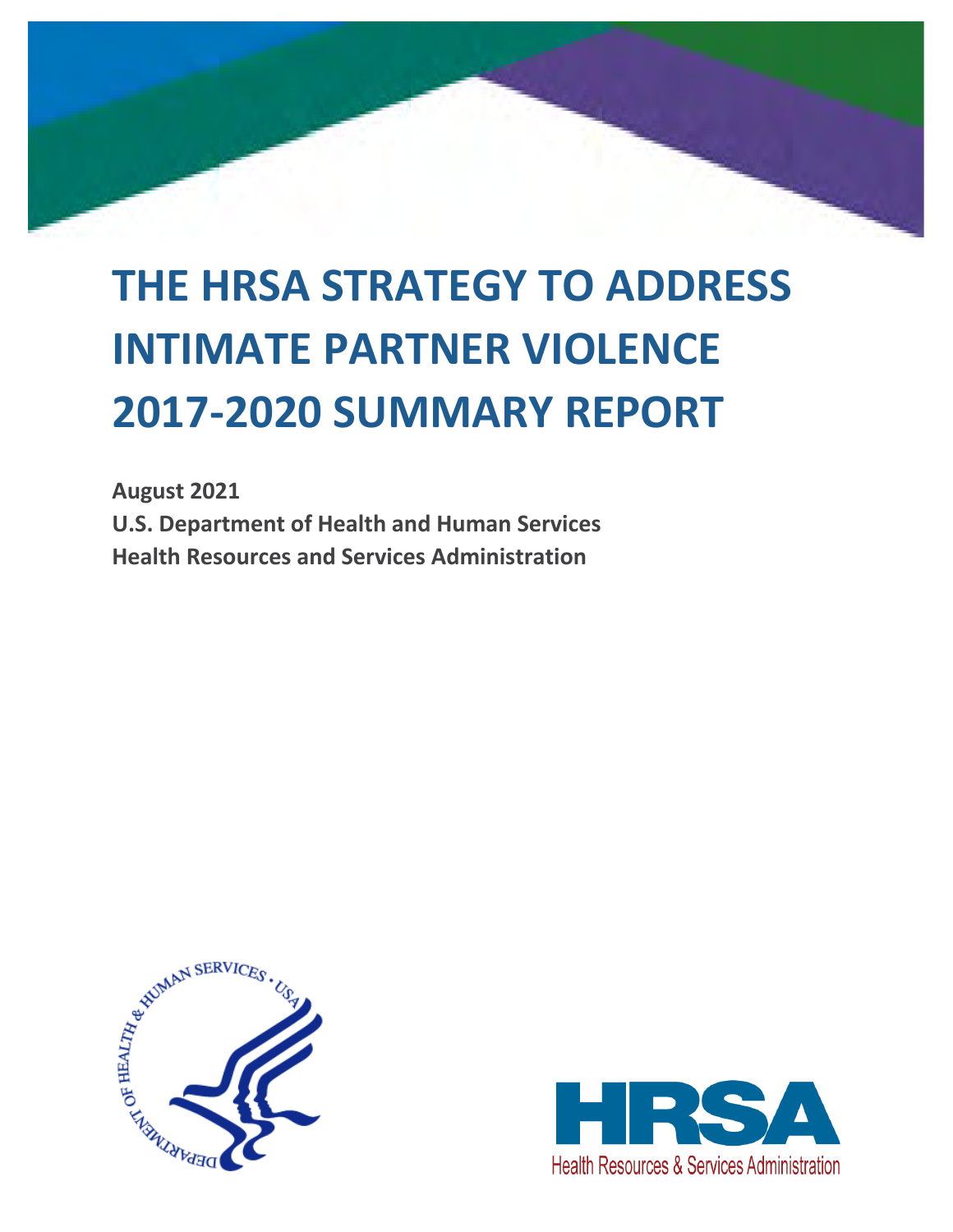# **THE HRSA STRATEGY TO ADDRESS INTIMATE PARTNER VIOLENCE 2017-2020 SUMMARY REPORT**

**August 2021 U.S. Department of Health and Human Services Health Resources and Services Administration**



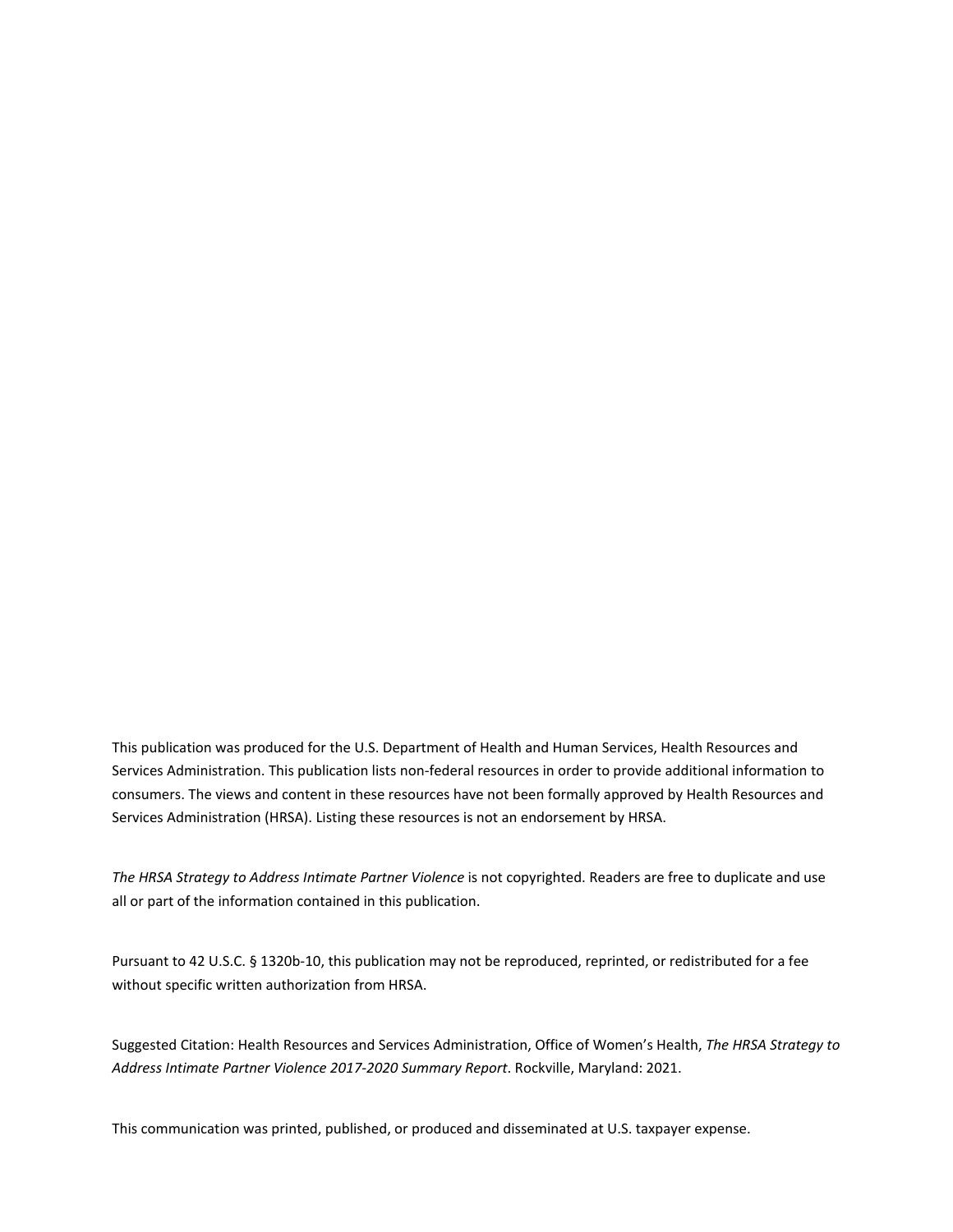This publication was produced for the U.S. Department of Health and Human Services, Health Resources and Services Administration. This publication lists non-federal resources in order to provide additional information to consumers. The views and content in these resources have not been formally approved by Health Resources and Services Administration (HRSA). Listing these resources is not an endorsement by HRSA.

*The HRSA Strategy to Address Intimate Partner Violence* is not copyrighted. Readers are free to duplicate and use all or part of the information contained in this publication.

Pursuant to 42 U.S.C. § 1320b-10, this publication may not be reproduced, reprinted, or redistributed for a fee without specific written authorization from HRSA.

Suggested Citation: Health Resources and Services Administration, Office of Women's Health, *The HRSA Strategy to Address Intimate Partner Violence 2017-2020 Summary Report*. Rockville, Maryland: 2021.

This communication was printed, published, or produced and disseminated at U.S. taxpayer expense.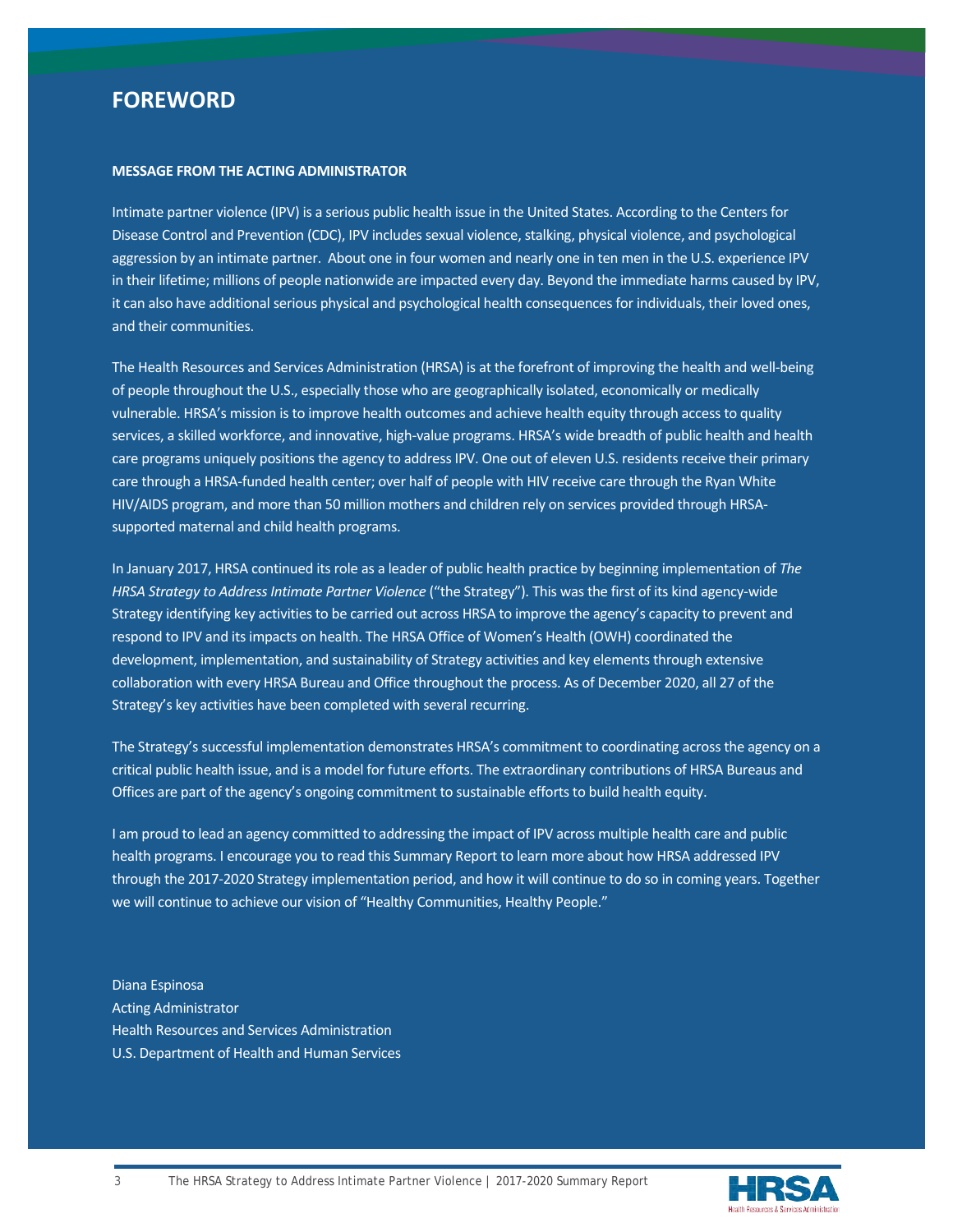# **FOREWORD**

#### **MESSAGE FROM THE ACTING ADMINISTRATOR**

Intimate partner violence (IPV) is a serious public health issue in the United States. According to the Centers for Disease Control and Prevention (CDC), IPV includes sexual violence, stalking, physical violence, and psychological aggression by an intimate partner. About one in four women and nearly one in ten men in the U.S. experience IPV in their lifetime; millions of people nationwide are impacted every day. Beyond the immediate harms caused by IPV, it can also have additional serious physical and psychological health consequences for individuals, their loved ones, and their communities.

The Health Resources and Services Administration (HRSA) is at the forefront of improving the health and well-being of people throughout the U.S., especially those who are geographically isolated, economically or medically vulnerable. HRSA's mission is to improve health outcomes and achieve health equity through access to quality services, a skilled workforce, and innovative, high-value programs. HRSA's wide breadth of public health and health care programs uniquely positions the agency to address IPV. One out of eleven U.S. residents receive their primary care through a HRSA-funded health center; over half of people with HIV receive care through the Ryan White HIV/AIDS program, and more than 50 million mothers and children rely on services provided through HRSAsupported maternal and child health programs.

In January 2017, HRSA continued its role as a leader of public health practice by beginning implementation of *The*  HRSA Strategy to Address Intimate Partner Violence ("the Strategy"). This was the first of its kind agency-wide Strategy identifying key activities to be carried out across HRSA to improve the agency's capacity to prevent and respond to IPV and its impacts on health. The HRSA Office of Women's Health (OWH) coordinated the development, implementation, and sustainability of Strategy activities and key elements through extensive collaboration with every HRSA Bureau and Office throughout the process. As of December 2020, all 27 of the Strategy's key activities have been completed with several recurring.

The Strategy's successful implementation demonstrates HRSA's commitment to coordinating across the agency on a critical public health issue, and is a model for future efforts. The extraordinary contributions of HRSA Bureaus and Offices are part of the agency's ongoing commitment to sustainable efforts to build health equity.

I am proud to lead an agency committed to addressing the impact of IPV across multiple health care and public health programs. I encourage you to read this Summary Report to learn more about how HRSA addressed IPV through the 2017-2020 Strategy implementation period, and how it will continue to do so in coming years. Together we will continue to achieve our vision of "Healthy Communities, Healthy People."

Diana Espinosa Acting Administrator Health Resources and Services Administration U.S. Department of Health and Human Services

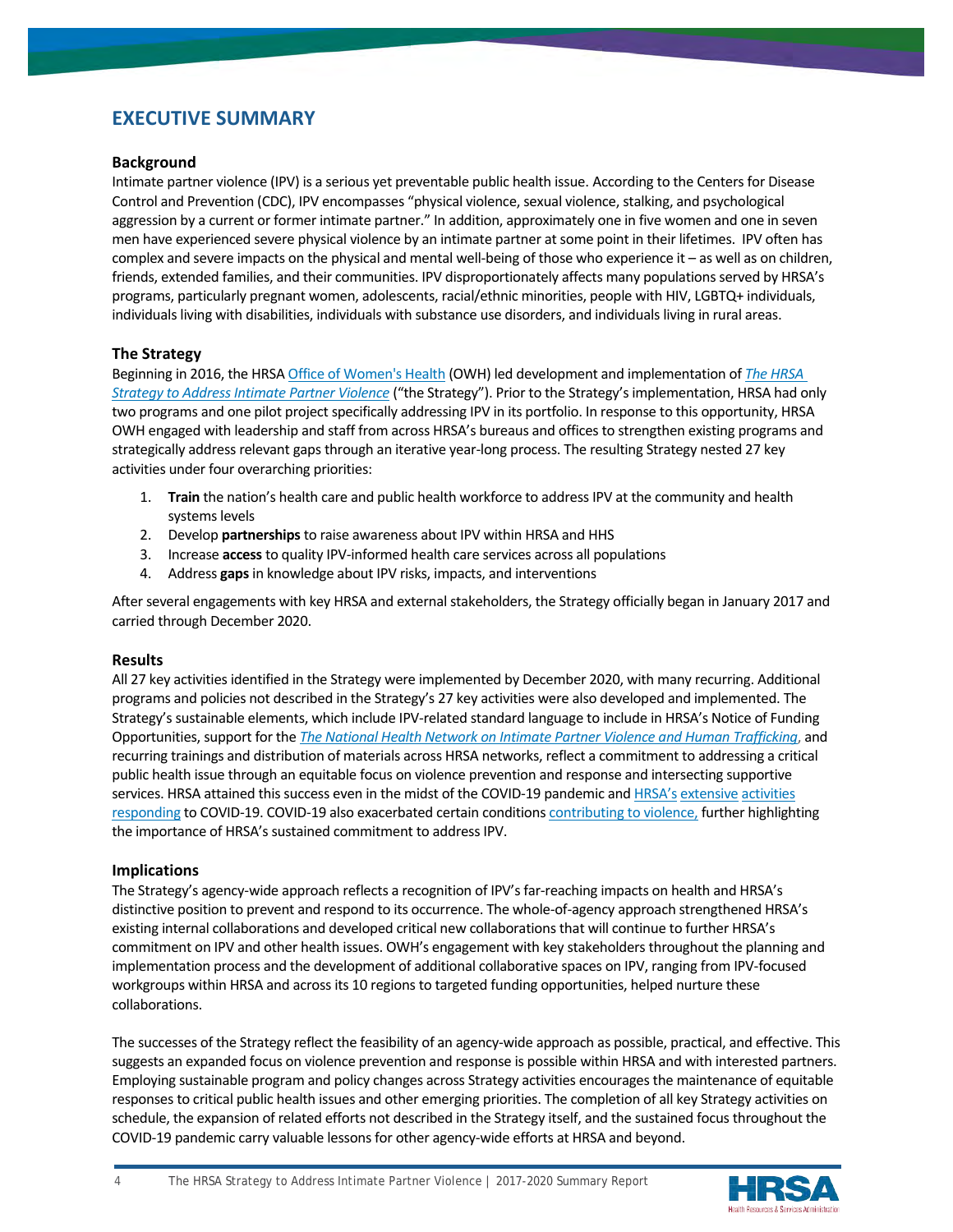# **EXECUTIVE SUMMARY**

#### **Background**

Intimate partner violence (IPV) is a serious yet preventable public health issue. According to the Centers for Disease Control and Prevention (CDC), IPV encompasses "physical violence, sexual violence, stalking, and psychological aggression by a current or former intimate partner." In addition, approximately one in five women and one in seven men have experienced severe physical violence by an intimate partner at some point in their lifetimes. IPV often has complex and severe impacts on the physical and mental well-being of those who experience it – as well as on children, friends, extended families, and their communities. IPV disproportionately affects many populations served by HRSA's programs, particularly pregnant women, adolescents, racial/ethnic minorities, people with HIV, LGBTQ+ individuals, individuals living with disabilities, individuals with substance use disorders, and individuals living in rural areas.

#### **The Strategy**

Beginning in 2016, the HRSA [Office of Women's Health](https://www.hrsa.gov/about/organization/bureaus/owh/index.html) (OWH) led development and implementation of *[The HRSA](https://www.hrsa.gov/sites/default/files/hrsa/HRSA-strategy-intimate-partner-violence.pdf)  [Strategy to Address Intimate Partner Violence](https://www.hrsa.gov/sites/default/files/hrsa/HRSA-strategy-intimate-partner-violence.pdf)* ("the Strategy"). Prior to the Strategy's implementation, HRSA had only two programs and one pilot project specifically addressing IPV in its portfolio. In response to this opportunity, HRSA OWH engaged with leadership and staff from across HRSA's bureaus and offices to strengthen existing programs and strategically address relevant gaps through an iterative year-long process. The resulting Strategy nested 27 key activities under four overarching priorities:

- 1. **Train** the nation's health care and public health workforce to address IPV at the community and health systems levels
- 2. Develop **partnerships**to raise awareness about IPV within HRSA and HHS
- 3. Increase **access** to quality IPV-informed health care services across all populations
- 4. Address **gaps** in knowledge about IPV risks, impacts, and interventions

After several engagements with key HRSA and external stakeholders, the Strategy officially began in January 2017 and carried through December 2020.

#### **Results**

All 27 key activities identified in the Strategy were implemented by December 2020, with many recurring. Additional programs and policies not described in the Strategy's 27 key activities were also developed and implemented. The Strategy's sustainable elements, which include IPV-related standard language to include in HRSA's Notice of Funding Opportunities, support for the *[The National Health Network on Intimate Partner Violence and Human Trafficking](https://www.futureswithoutviolence.org/health/nationalhealthnetwork)*, and recurring trainings and distribution of materials across HRSA networks, reflect a commitment to addressing a critical public health issue through an equitable focus on violence prevention and response and intersecting supportive services. HRSA attained this success even in the midst of the COVID-19 pandemic an[d HRSA's](https://www.hrsa.gov/coronavirus) [extensive](https://public3.pagefreezer.com/content/HHS.gov/31-12-2020T08:51/https:/www.hhs.gov/about/news/2020/03/24/hhs-awards-100-million-to-health-centers-for-covid-19-response.html) [activities](https://public3.pagefreezer.com/content/HHS.gov/31-12-2020T08:51/https:/www.hhs.gov/about/news/2020/04/08/hhs-awards-billion-to-health-centers-in-historic-covid19-response.html) [responding](https://public3.pagefreezer.com/content/HHS.gov/31-12-2020T08:51/https:/www.hhs.gov/about/news/2020/05/20/hhs-provides-225-million-for-covid19-testing-in-rural-communities.html) to COVID-19. COVID-19 also exacerbated certain condition[s contributing to violence,](https://www.samhsa.gov/sites/default/files/social-distancing-domestic-violence.pdf) further highlighting the importance of HRSA's sustained commitment to address IPV.

#### **Implications**

The Strategy's agency-wide approach reflects a recognition of IPV's far-reaching impacts on health and HRSA's distinctive position to prevent and respond to its occurrence. The whole-of-agency approach strengthened HRSA's existing internal collaborations and developed critical new collaborations that will continue to further HRSA's commitment on IPV and other health issues. OWH's engagement with key stakeholders throughout the planning and implementation process and the development of additional collaborative spaces on IPV, ranging from IPV-focused workgroups within HRSA and across its 10 regions to targeted funding opportunities, helped nurture these collaborations.

The successes of the Strategy reflect the feasibility of an agency-wide approach as possible, practical, and effective. This suggests an expanded focus on violence prevention and response is possible within HRSA and with interested partners. Employing sustainable program and policy changes across Strategy activities encourages the maintenance of equitable responses to critical public health issues and other emerging priorities. The completion of all key Strategy activities on schedule, the expansion of related efforts not described in the Strategy itself, and the sustained focus throughout the COVID-19 pandemic carry valuable lessons for other agency-wide efforts at HRSA and beyond.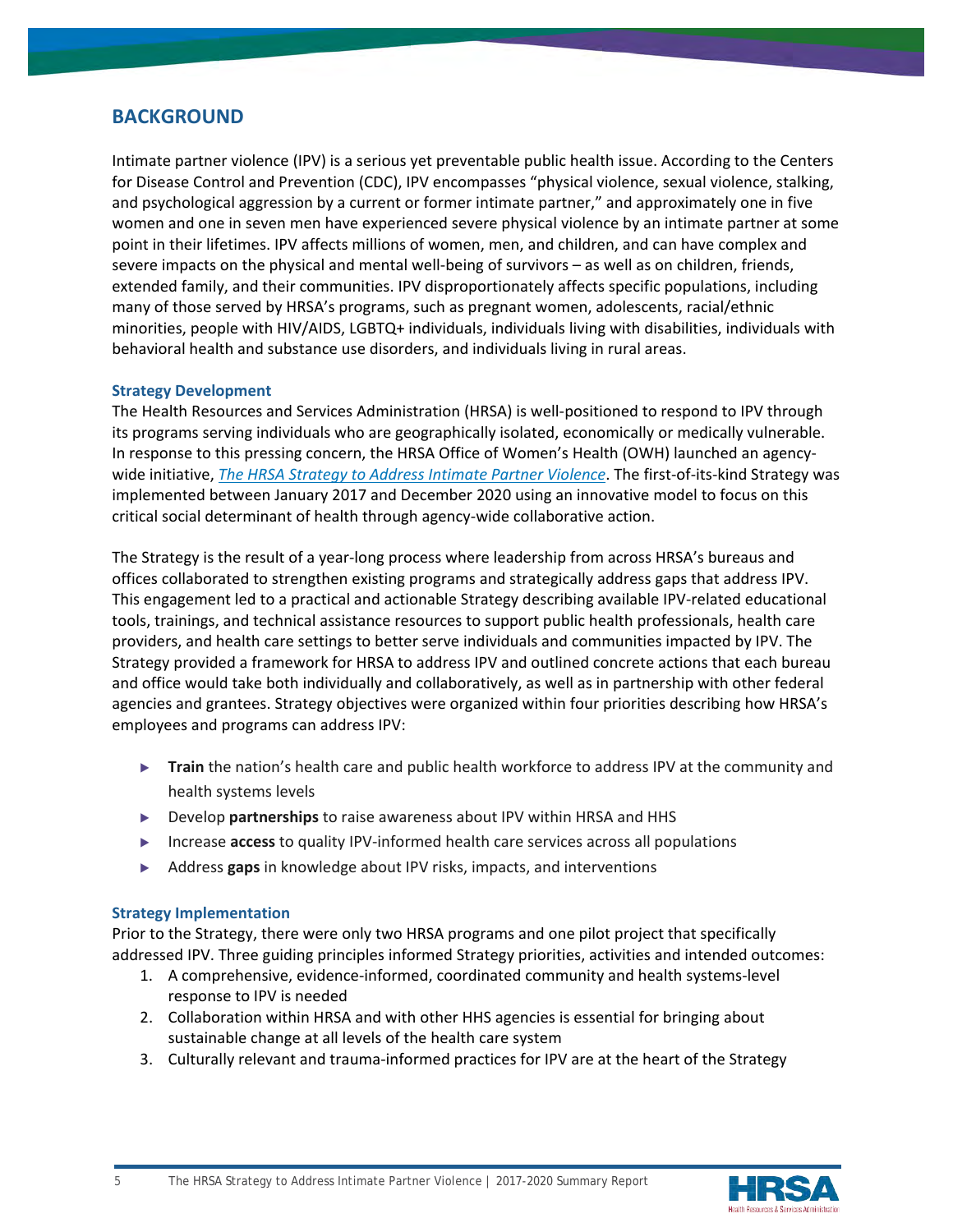# **BACKGROUND**

Intimate partner violence (IPV) is a serious yet preventable public health issue. According to the Centers for Disease Control and Prevention (CDC), IPV encompasses "physical violence, sexual violence, stalking, and psychological aggression by a current or former intimate partner," and approximately one in five women and one in seven men have experienced severe physical violence by an intimate partner at some point in their lifetimes. IPV affects millions of women, men, and children, and can have complex and severe impacts on the physical and mental well-being of survivors – as well as on children, friends, extended family, and their communities. IPV disproportionately affects specific populations, including many of those served by HRSA's programs, such as pregnant women, adolescents, racial/ethnic minorities, people with HIV/AIDS, LGBTQ+ individuals, individuals living with disabilities, individuals with behavioral health and substance use disorders, and individuals living in rural areas.

# **Strategy Development**

The Health Resources and Services Administration (HRSA) is well-positioned to respond to IPV through its programs serving individuals who are geographically isolated, economically or medically vulnerable. In response to this pressing concern, the HRSA Office of Women's Health (OWH) launched an agencywide initiative, *[The HRSA Strategy to Address Intimate Partner Violence](https://www.hrsa.gov/sites/default/files/hrsa/HRSA-strategy-intimate-partner-violence.pdf)*. The first-of-its-kind Strategy was implemented between January 2017 and December 2020 using an innovative model to focus on this critical social determinant of health through agency-wide collaborative action.

The Strategy is the result of a year-long process where leadership from across HRSA's bureaus and offices collaborated to strengthen existing programs and strategically address gaps that address IPV. This engagement led to a practical and actionable Strategy describing available IPV-related educational tools, trainings, and technical assistance resources to support public health professionals, health care providers, and health care settings to better serve individuals and communities impacted by IPV. The Strategy provided a framework for HRSA to address IPV and outlined concrete actions that each bureau and office would take both individually and collaboratively, as well as in partnership with other federal agencies and grantees. Strategy objectives were organized within four priorities describing how HRSA's employees and programs can address IPV:

- ▶ **Train** the nation's health care and public health workforce to address IPV at the community and health systems levels
- ▶ Develop **partnerships** to raise awareness about IPV within HRSA and HHS
- ▶ Increase **access** to quality IPV-informed health care services across all populations
- ▶ Address **gaps** in knowledge about IPV risks, impacts, and interventions

# **Strategy Implementation**

Prior to the Strategy, there were only two HRSA programs and one pilot project that specifically addressed IPV. Three guiding principles informed Strategy priorities, activities and intended outcomes:

- 1. A comprehensive, evidence-informed, coordinated community and health systems-level response to IPV is needed
- 2. Collaboration within HRSA and with other HHS agencies is essential for bringing about sustainable change at all levels of the health care system
- 3. Culturally relevant and trauma-informed practices for IPV are at the heart of the Strategy

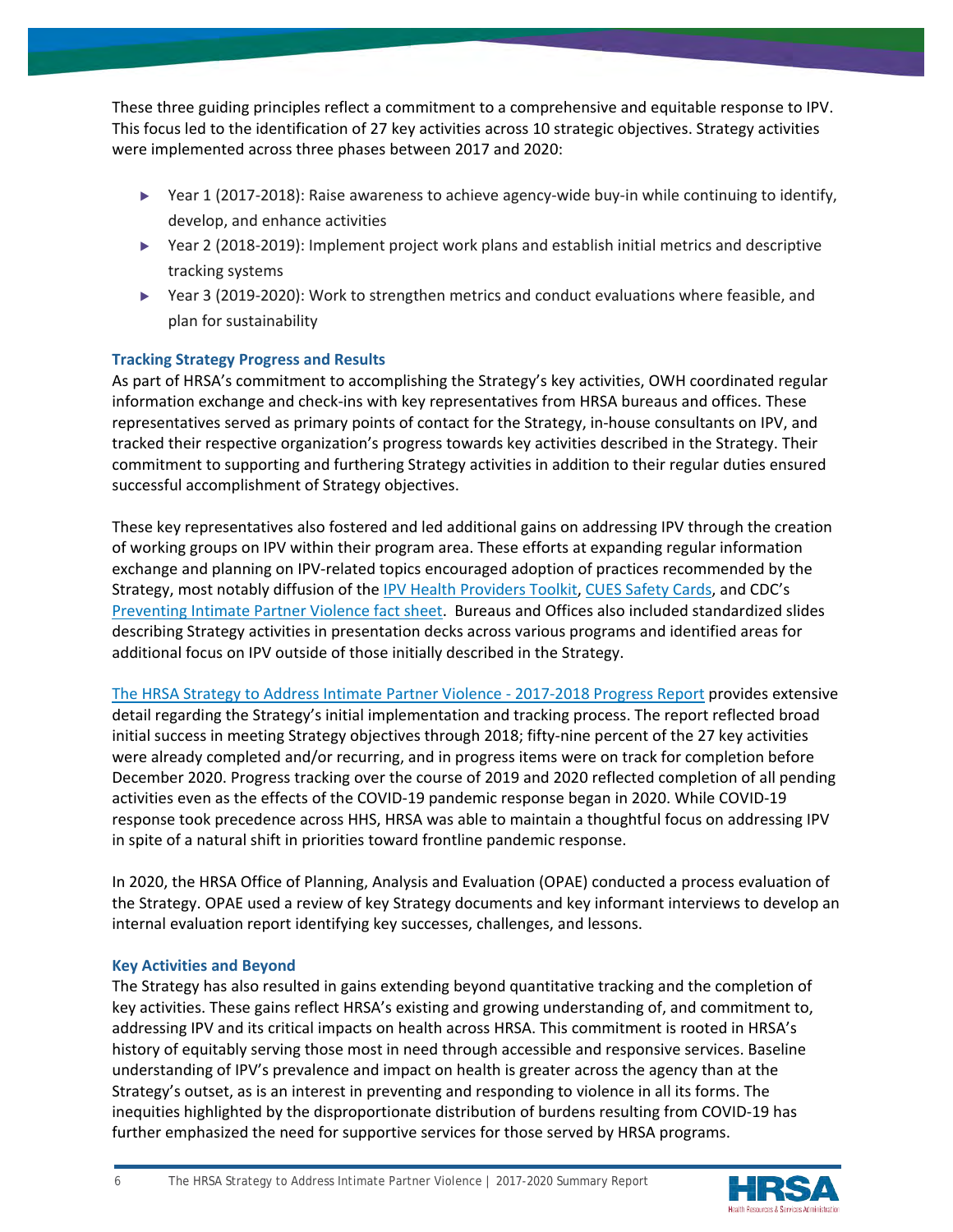These three guiding principles reflect a commitment to a comprehensive and equitable response to IPV. This focus led to the identification of 27 key activities across 10 strategic objectives. Strategy activities were implemented across three phases between 2017 and 2020:

- ▶ Year 1 (2017-2018): Raise awareness to achieve agency-wide buy-in while continuing to identify, develop, and enhance activities
- ▶ Year 2 (2018-2019): Implement project work plans and establish initial metrics and descriptive tracking systems
- ▶ Year 3 (2019-2020): Work to strengthen metrics and conduct evaluations where feasible, and plan for sustainability

# **Tracking Strategy Progress and Results**

As part of HRSA's commitment to accomplishing the Strategy's key activities, OWH coordinated regular information exchange and check-ins with key representatives from HRSA bureaus and offices. These representatives served as primary points of contact for the Strategy, in-house consultants on IPV, and tracked their respective organization's progress towards key activities described in the Strategy. Their commitment to supporting and furthering Strategy activities in addition to their regular duties ensured successful accomplishment of Strategy objectives.

These key representatives also fostered and led additional gains on addressing IPV through the creation of working groups on IPV within their program area. These efforts at expanding regular information exchange and planning on IPV-related topics encouraged adoption of practices recommended by the Strategy, most notably diffusion of the [IPV Health Providers Toolkit,](https://ipvhealth.org/resources) [CUES Safety Cards,](https://www.futureswithoutviolence.org/is-your-relationship-affecting-your-health-safety-card/) and CDC's [Preventing Intimate Partner Violence fact sheet.](https://www.cdc.gov/violenceprevention/pdf/ipv-factsheet508.pdf) Bureaus and Offices also included standardized slides describing Strategy activities in presentation decks across various programs and identified areas for additional focus on IPV outside of those initially described in the Strategy.

[The HRSA Strategy to Address Intimate Partner Violence - 2017-2018 Progress Report](https://www.hrsa.gov/sites/default/files/hrsa/HRSA-IPV-Strategy-Progress-Report.pdf) provides extensive detail regarding the Strategy's initial implementation and tracking process. The report reflected broad initial success in meeting Strategy objectives through 2018; fifty-nine percent of the 27 key activities were already completed and/or recurring, and in progress items were on track for completion before December 2020. Progress tracking over the course of 2019 and 2020 reflected completion of all pending activities even as the effects of the COVID-19 pandemic response began in 2020. While COVID-19 response took precedence across HHS, HRSA was able to maintain a thoughtful focus on addressing IPV in spite of a natural shift in priorities toward frontline pandemic response.

In 2020, the HRSA Office of Planning, Analysis and Evaluation (OPAE) conducted a process evaluation of the Strategy. OPAE used a review of key Strategy documents and key informant interviews to develop an internal evaluation report identifying key successes, challenges, and lessons.

# **Key Activities and Beyond**

The Strategy has also resulted in gains extending beyond quantitative tracking and the completion of key activities. These gains reflect HRSA's existing and growing understanding of, and commitment to, addressing IPV and its critical impacts on health across HRSA. This commitment is rooted in HRSA's history of equitably serving those most in need through accessible and responsive services. Baseline understanding of IPV's prevalence and impact on health is greater across the agency than at the Strategy's outset, as is an interest in preventing and responding to violence in all its forms. The inequities highlighted by the disproportionate distribution of burdens resulting from COVID-19 has further emphasized the need for supportive services for those served by HRSA programs.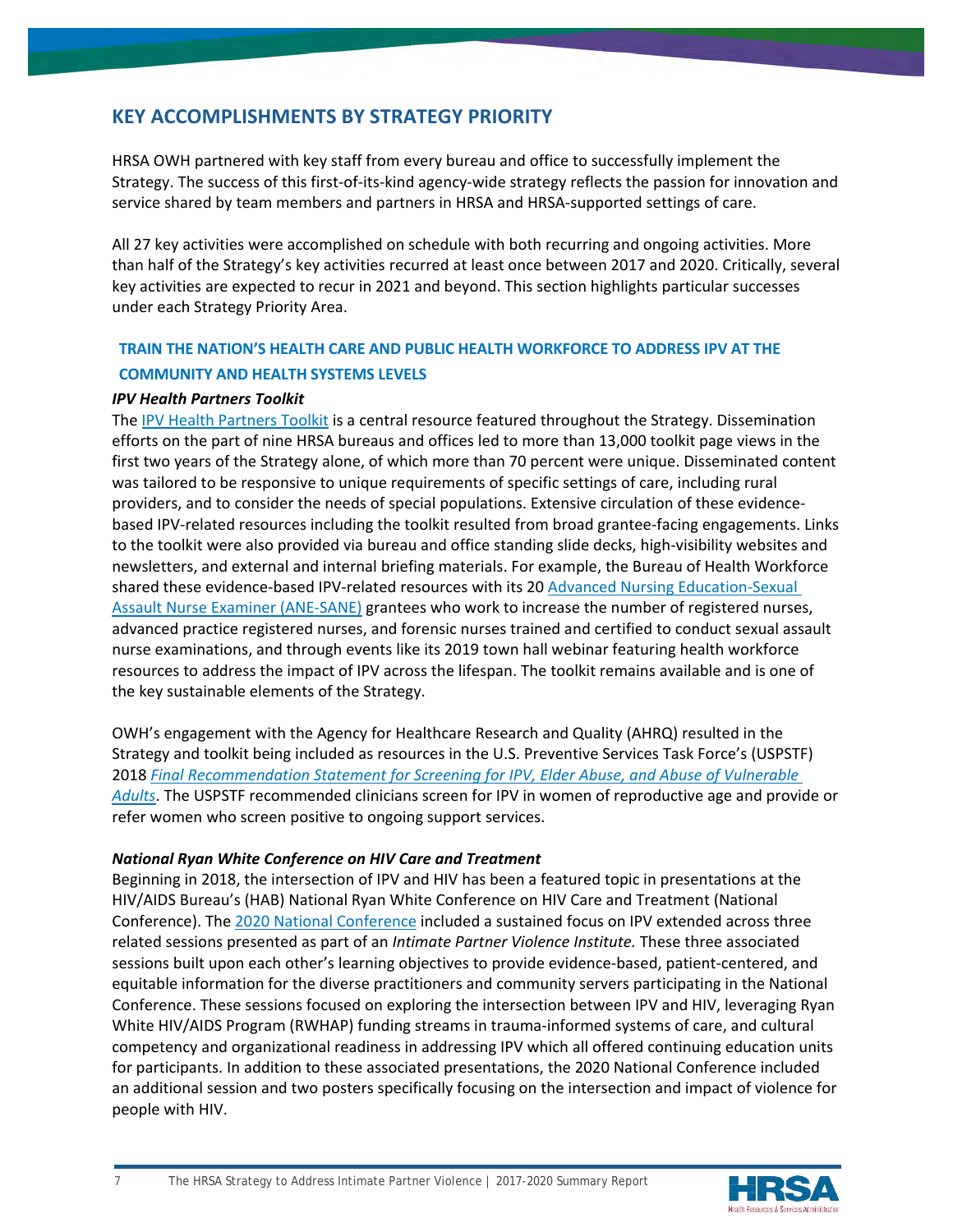# **KEY ACCOMPLISHMENTS BY STRATEGY PRIORITY**

HRSA OWH partnered with key staff from every bureau and office to successfully implement the Strategy. The success of this first-of-its-kind agency-wide strategy reflects the passion for innovation and service shared by team members and partners in HRSA and HRSA-supported settings of care.

All 27 key activities were accomplished on schedule with both recurring and ongoing activities. More than half of the Strategy's key activities recurred at least once between 2017 and 2020. Critically, several key activities are expected to recur in 2021 and beyond. This section highlights particular successes under each Strategy Priority Area.

# **TRAIN THE NATION'S HEALTH CARE AND PUBLIC HEALTH WORKFORCE TO ADDRESS IPV AT THE COMMUNITY AND HEALTH SYSTEMS LEVELS**

# *IPV Health Partners Toolkit*

The [IPV Health Partners Toolkit](https://ipvhealthpartners.org/) is a central resource featured throughout the Strategy. Dissemination efforts on the part of nine HRSA bureaus and offices led to more than 13,000 toolkit page views in the first two years of the Strategy alone, of which more than 70 percent were unique. Disseminated content was tailored to be responsive to unique requirements of specific settings of care, including rural providers, and to consider the needs of special populations. Extensive circulation of these evidencebased IPV-related resources including the toolkit resulted from broad grantee-facing engagements. Links to the toolkit were also provided via bureau and office standing slide decks, high-visibility websites and newsletters, and external and internal briefing materials. For example, the Bureau of Health Workforce shared these evidence-based IPV-related resources with its 20 [Advanced Nursing Education-Sexual](https://bhw.hrsa.gov/ane-sane-nursing)  [Assault Nurse Examiner \(ANE-SANE\)](https://bhw.hrsa.gov/ane-sane-nursing) grantees who work to increase the number of registered nurses, advanced practice registered nurses, and forensic nurses trained and certified to conduct sexual assault nurse examinations, and through events like its 2019 town hall webinar featuring health workforce resources to address the impact of IPV across the lifespan. The toolkit remains available and is one of the key sustainable elements of the Strategy.

OWH's engagement with the Agency for Healthcare Research and Quality (AHRQ) resulted in the Strategy and toolkit being included as resources in the U.S. Preventive Services Task Force's (USPSTF) 2018 *[Final Recommendation Statement for Screening for IPV, Elder Abuse, and Abuse of Vulnerable](https://www.uspreventiveservicestaskforce.org/uspstf/document/RecommendationStatementFinal/intimate-partner-violence-and-abuse-of-elderly-and-vulnerable-adults-screening)  [Adults](https://www.uspreventiveservicestaskforce.org/uspstf/document/RecommendationStatementFinal/intimate-partner-violence-and-abuse-of-elderly-and-vulnerable-adults-screening)*. The USPSTF recommended clinicians screen for IPV in women of reproductive age and provide or refer women who screen positive to ongoing support services.

# *National Ryan White Conference on HIV Care and Treatment*

Beginning in 2018, the intersection of IPV and HIV has been a featured topic in presentations at the HIV/AIDS Bureau's (HAB) National Ryan White Conference on HIV Care and Treatment (National Conference). The [2020 National Conference](https://ryanwhiteconference.hrsa.gov/wp-content/uploads/2020/08/2020-National-Ryan-White-Conference-on-HIV-Care-Treatment-Program-HQ.pdf) included a sustained focus on IPV extended across three related sessions presented as part of an *Intimate Partner Violence Institute.* These three associated sessions built upon each other's learning objectives to provide evidence-based, patient-centered, and equitable information for the diverse practitioners and community servers participating in the National Conference. These sessions focused on exploring the intersection between IPV and HIV, leveraging Ryan White HIV/AIDS Program (RWHAP) funding streams in trauma-informed systems of care, and cultural competency and organizational readiness in addressing IPV which all offered continuing education units for participants. In addition to these associated presentations, the 2020 National Conference included an additional session and two posters specifically focusing on the intersection and impact of violence for people with HIV.

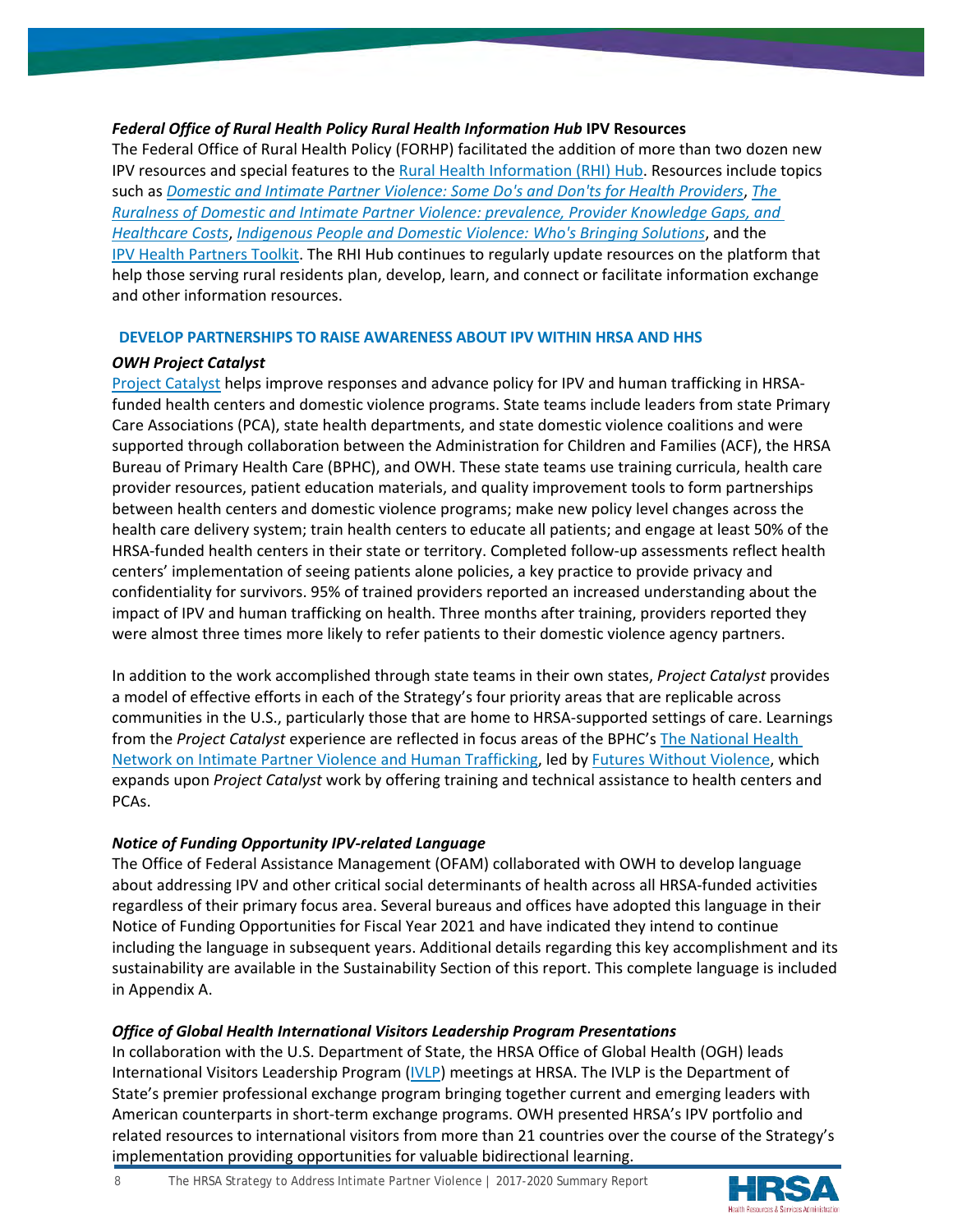# *Federal Office of Rural Health Policy Rural Health Information Hub* **IPV Resources**

The Federal Office of Rural Health Policy (FORHP) facilitated the addition of more than two dozen new IPV resources and special features to the [Rural Health Information \(RHI\) Hub.](https://www.ruralhealthinfo.org/) Resources include topics such as *[Domestic and Intimate Partner Violence: Some Do's and Don'ts for Health Providers](https://www.ruralhealthinfo.org/rural-monitor/domestic-violence/)*, *[The](https://www.ruralhealthinfo.org/rural-monitor/rural-domestic-violence/)  [Ruralness of Domestic and Intimate Partner Violence: prevalence, Provider Knowledge Gaps, and](https://www.ruralhealthinfo.org/rural-monitor/rural-domestic-violence/)  [Healthcare Costs](https://www.ruralhealthinfo.org/rural-monitor/rural-domestic-violence/)*, *[Indigenous People and Domestic Violence: Who's Bringing Solutions](https://www.ruralhealthinfo.org/rural-monitor/indigenous-people-domestic-violence/)*, and the [IPV Health Partners Toolkit.](https://ipvhealthpartners.org/) The RHI Hub continues to regularly update resources on the platform that help those serving rural residents plan, develop, learn, and connect or facilitate information exchange and other information resources.

# **DEVELOP PARTNERSHIPS TO RAISE AWARENESS ABOUT IPV WITHIN HRSA AND HHS**

# *OWH Project Catalyst*

[Project Catalyst](https://www.futureswithoutviolence.org/health/project-catalyst/) helps improve responses and advance policy for IPV and human trafficking in HRSAfunded health centers and domestic violence programs. State teams include leaders from state Primary Care Associations (PCA), state health departments, and state domestic violence coalitions and were supported through collaboration between the Administration for Children and Families (ACF), the HRSA Bureau of Primary Health Care (BPHC), and OWH. These state teams use training curricula, health care provider resources, patient education materials, and quality improvement tools to form partnerships between health centers and domestic violence programs; make new policy level changes across the health care delivery system; train health centers to educate all patients; and engage at least 50% of the HRSA-funded health centers in their state or territory. Completed follow-up assessments reflect health centers' implementation of seeing patients alone policies, a key practice to provide privacy and confidentiality for survivors. 95% of trained providers reported an increased understanding about the impact of IPV and human trafficking on health. Three months after training, providers reported they were almost three times more likely to refer patients to their domestic violence agency partners.

In addition to the work accomplished through state teams in their own states, *Project Catalyst* provides a model of effective efforts in each of the Strategy's four priority areas that are replicable across communities in the U.S., particularly those that are home to HRSA-supported settings of care. Learnings from the *Project Catalyst* experience are reflected in focus areas of the BPHC's [The National Health](https://www.futureswithoutviolence.org/health/nationalhealthnetwork)  [Network on Intimate Partner Violence and Human Trafficking,](https://www.futureswithoutviolence.org/health/nationalhealthnetwork) led b[y Futures Without Violence,](https://www.futureswithoutviolence.org/) which expands upon *Project Catalyst* work by offering training and technical assistance to health centers and PCAs.

# *Notice of Funding Opportunity IPV-related Language*

The Office of Federal Assistance Management (OFAM) collaborated with OWH to develop language about addressing IPV and other critical social determinants of health across all HRSA-funded activities regardless of their primary focus area. Several bureaus and offices have adopted this language in their Notice of Funding Opportunities for Fiscal Year 2021 and have indicated they intend to continue including the language in subsequent years. Additional details regarding this key accomplishment and its sustainability are available in the Sustainability Section of this report. This complete language is included in Appendix A.

# *Office of Global Health International Visitors Leadership Program Presentations*

In collaboration with the U.S. Department of State, the HRSA Office of Global Health (OGH) leads International Visitors Leadership Program [\(IVLP\)](https://eca.state.gov/ivlp) meetings at HRSA. The IVLP is the Department of State's premier professional exchange program bringing together current and emerging leaders with American counterparts in short-term exchange programs. OWH presented HRSA's IPV portfolio and related resources to international visitors from more than 21 countries over the course of the Strategy's implementation providing opportunities for valuable bidirectional learning.

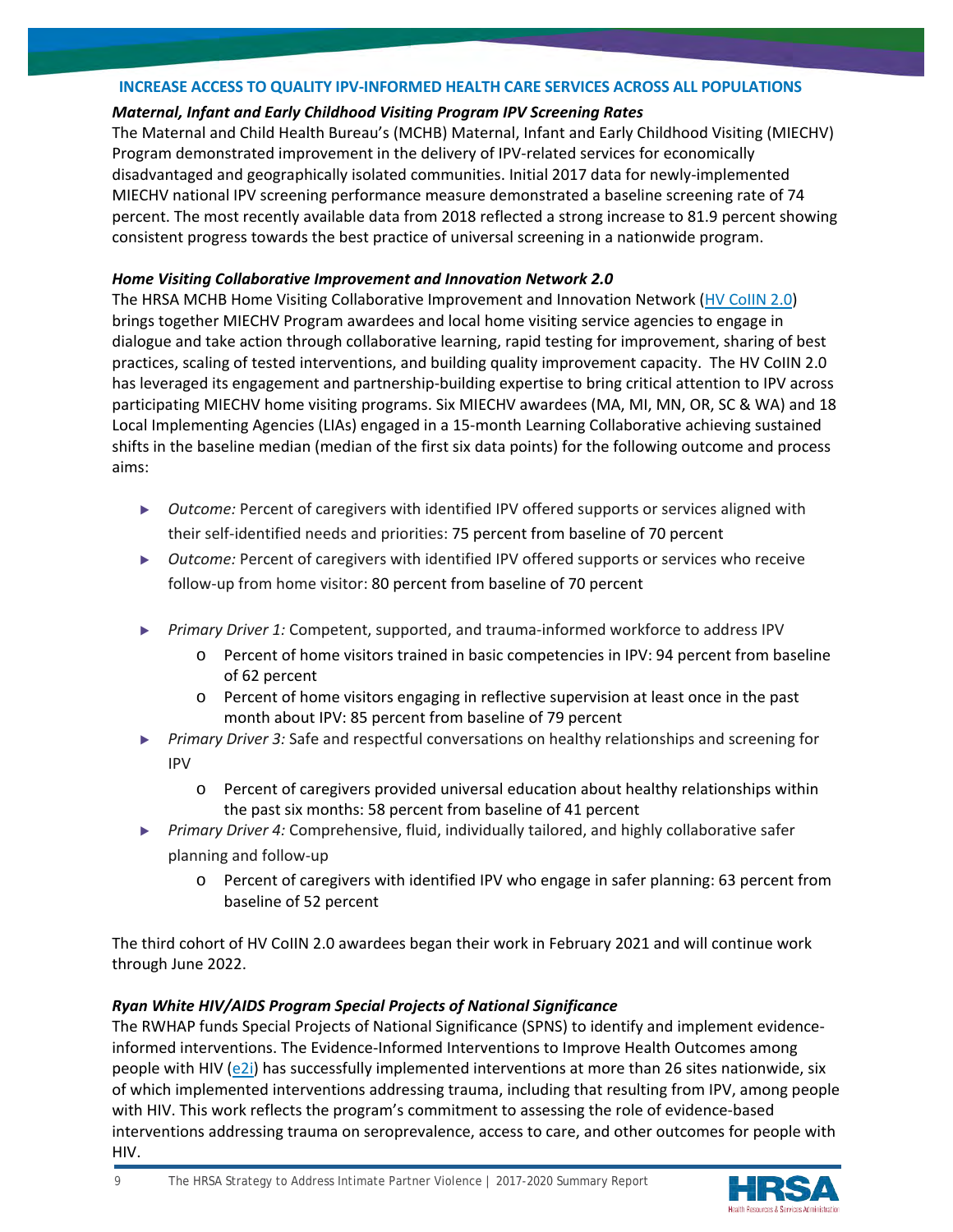## **INCREASE ACCESS TO QUALITY IPV-INFORMED HEALTH CARE SERVICES ACROSS ALL POPULATIONS**

# *Maternal, Infant and Early Childhood Visiting Program IPV Screening Rates*

The Maternal and Child Health Bureau's (MCHB) Maternal, Infant and Early Childhood Visiting (MIECHV) Program demonstrated improvement in the delivery of IPV-related services for economically disadvantaged and geographically isolated communities. Initial 2017 data for newly-implemented MIECHV national IPV screening performance measure demonstrated a baseline screening rate of 74 percent. The most recently available data from 2018 reflected a strong increase to 81.9 percent showing consistent progress towards the best practice of universal screening in a nationwide program.

# *Home Visiting Collaborative Improvement and Innovation Network 2.0*

The HRSA MCHB Home Visiting Collaborative Improvement and Innovation Network [\(HV CoIIN 2.0\)](https://mchb.hrsa.gov/sites/default/files/mchb/MaternalChildHealthInitiatives/HomeVisiting/pdf/hrsa-hv-colin-overview.pdf) brings together MIECHV Program awardees and local home visiting service agencies to engage in dialogue and take action through collaborative learning, rapid testing for improvement, sharing of best practices, scaling of tested interventions, and building quality improvement capacity. The HV CoIIN 2.0 has leveraged its engagement and partnership-building expertise to bring critical attention to IPV across participating MIECHV home visiting programs. Six MIECHV awardees (MA, MI, MN, OR, SC & WA) and 18 Local Implementing Agencies (LIAs) engaged in a 15-month Learning Collaborative achieving sustained shifts in the baseline median (median of the first six data points) for the following outcome and process aims:

- ▶ *Outcome:* Percent of caregivers with identified IPV offered supports or services aligned with their self-identified needs and priorities: 75 percent from baseline of 70 percent
- ▶ *Outcome:* Percent of caregivers with identified IPV offered supports or services who receive follow-up from home visitor: 80 percent from baseline of 70 percent
- ▶ *Primary Driver 1:* Competent, supported, and trauma-informed workforce to address IPV
	- o Percent of home visitors trained in basic competencies in IPV: 94 percent from baseline of 62 percent
	- o Percent of home visitors engaging in reflective supervision at least once in the past month about IPV: 85 percent from baseline of 79 percent
- ▶ *Primary Driver 3:* Safe and respectful conversations on healthy relationships and screening for IPV
	- o Percent of caregivers provided universal education about healthy relationships within the past six months: 58 percent from baseline of 41 percent
- ▶ *Primary Driver 4:* Comprehensive, fluid, individually tailored, and highly collaborative safer planning and follow-up
	- o Percent of caregivers with identified IPV who engage in safer planning: 63 percent from baseline of 52 percent

The third cohort of HV CoIIN 2.0 awardees began their work in February 2021 and will continue work through June 2022.

# *Ryan White HIV/AIDS Program Special Projects of National Significance*

The RWHAP funds Special Projects of National Significance (SPNS) to identify and implement evidenceinformed interventions. The Evidence-Informed Interventions to Improve Health Outcomes among people with HIV ( $e2i$ ) has successfully implemented interventions at more than 26 sites nationwide, six of which implemented interventions addressing trauma, including that resulting from IPV, among people with HIV. This work reflects the program's commitment to assessing the role of evidence-based interventions addressing trauma on seroprevalence, access to care, and other outcomes for people with HIV.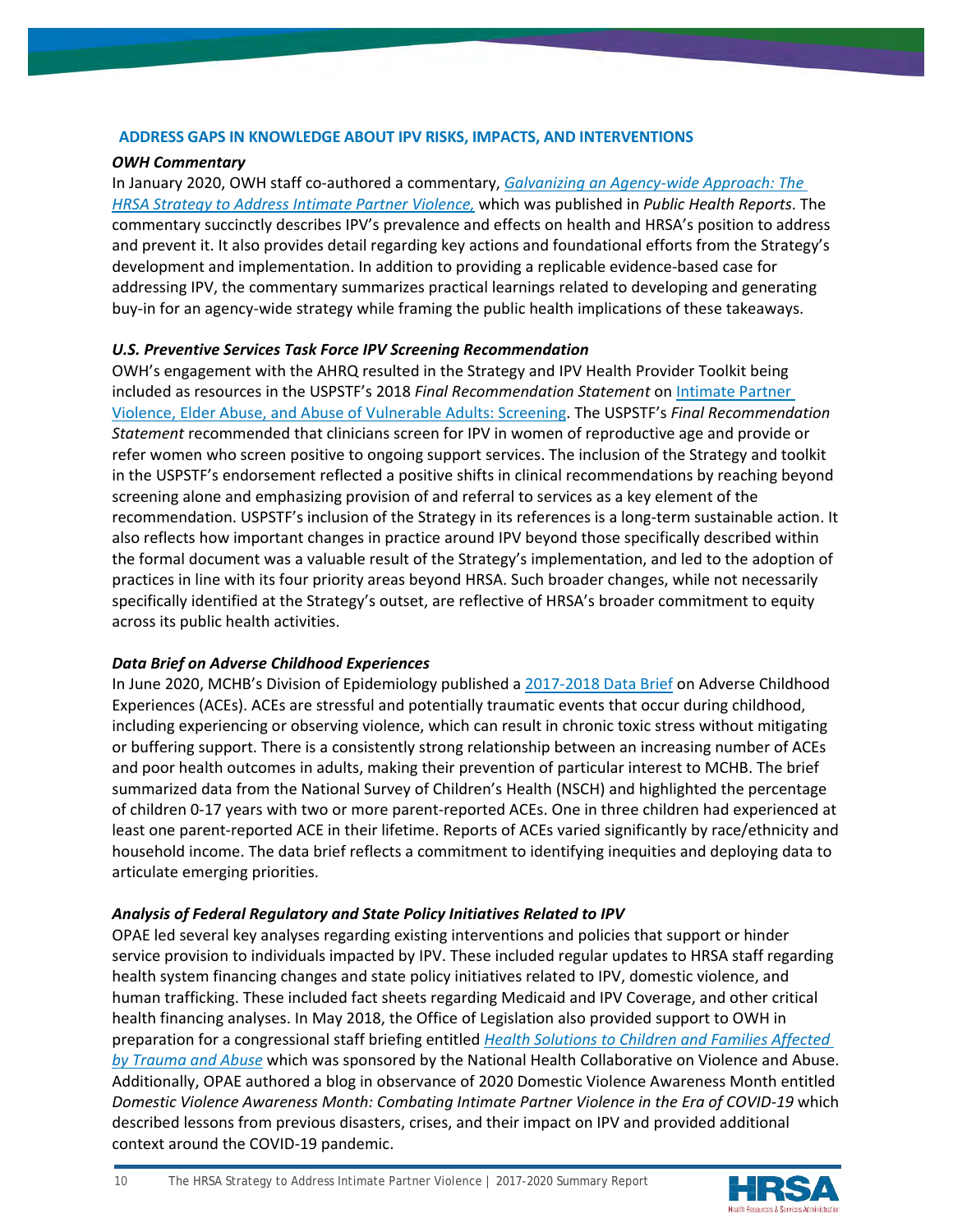# **ADDRESS GAPS IN KNOWLEDGE ABOUT IPV RISKS, IMPACTS, AND INTERVENTIONS**

# *OWH Commentary*

In January 2020, OWH staff co-authored a commentary, *[Galvanizing an Agency-wide Approach: The](https://www.ncbi.nlm.nih.gov/pmc/articles/PMC7119262/pdf/10.1177_0033354919884305.pdf)  [HRSA Strategy to Address Intimate Partner Violence,](https://www.ncbi.nlm.nih.gov/pmc/articles/PMC7119262/pdf/10.1177_0033354919884305.pdf)* which was published in *Public Health Reports*. The commentary succinctly describes IPV's prevalence and effects on health and HRSA's position to address and prevent it. It also provides detail regarding key actions and foundational efforts from the Strategy's development and implementation. In addition to providing a replicable evidence-based case for addressing IPV, the commentary summarizes practical learnings related to developing and generating buy-in for an agency-wide strategy while framing the public health implications of these takeaways.

# *U.S. Preventive Services Task Force IPV Screening Recommendation*

OWH's engagement with the AHRQ resulted in the Strategy and IPV Health Provider Toolkit being included as resources in the USPSTF's 2018 *Final Recommendation Statement* o[n Intimate Partner](https://www.uspreventiveservicestaskforce.org/uspstf/document/RecommendationStatementFinal/intimate-partner-violence-and-abuse-of-elderly-and-vulnerable-adults-screening)  [Violence, Elder Abuse, and Abuse of Vulnerable Adults: Screening.](https://www.uspreventiveservicestaskforce.org/uspstf/document/RecommendationStatementFinal/intimate-partner-violence-and-abuse-of-elderly-and-vulnerable-adults-screening) The USPSTF's *Final Recommendation Statement* recommended that clinicians screen for IPV in women of reproductive age and provide or refer women who screen positive to ongoing support services. The inclusion of the Strategy and toolkit in the USPSTF's endorsement reflected a positive shifts in clinical recommendations by reaching beyond screening alone and emphasizing provision of and referral to services as a key element of the recommendation. USPSTF's inclusion of the Strategy in its references is a long-term sustainable action. It also reflects how important changes in practice around IPV beyond those specifically described within the formal document was a valuable result of the Strategy's implementation, and led to the adoption of practices in line with its four priority areas beyond HRSA. Such broader changes, while not necessarily specifically identified at the Strategy's outset, are reflective of HRSA's broader commitment to equity across its public health activities.

# *Data Brief on Adverse Childhood Experiences*

In June 2020, MCHB's Division of Epidemiology published a [2017-2018 Data Brief](https://mchb.hrsa.gov/sites/default/files/mchb/Data/NSCH/nsch-ace-databrief.pdf) on Adverse Childhood Experiences (ACEs). ACEs are stressful and potentially traumatic events that occur during childhood, including experiencing or observing violence, which can result in chronic toxic stress without mitigating or buffering support. There is a consistently strong relationship between an increasing number of ACEs and poor health outcomes in adults, making their prevention of particular interest to MCHB. The brief summarized data from the National Survey of Children's Health (NSCH) and highlighted the percentage of children 0-17 years with two or more parent-reported ACEs. One in three children had experienced at least one parent-reported ACE in their lifetime. Reports of ACEs varied significantly by race/ethnicity and household income. The data brief reflects a commitment to identifying inequities and deploying data to articulate emerging priorities.

# *Analysis of Federal Regulatory and State Policy Initiatives Related to IPV*

OPAE led several key analyses regarding existing interventions and policies that support or hinder service provision to individuals impacted by IPV. These included regular updates to HRSA staff regarding health system financing changes and state policy initiatives related to IPV, domestic violence, and human trafficking. These included fact sheets regarding Medicaid and IPV Coverage, and other critical health financing analyses. In May 2018, the Office of Legislation also provided support to OWH in preparation for a congressional staff briefing entitled *[Health Solutions to Children and Families Affected](https://www.cwla.org/health-solutions-for-families-affected-by-abuse-and-other-trauma/)  [by Trauma and Abuse](https://www.cwla.org/health-solutions-for-families-affected-by-abuse-and-other-trauma/)* which was sponsored by the National Health Collaborative on Violence and Abuse. Additionally, OPAE authored a blog in observance of 2020 Domestic Violence Awareness Month entitled *Domestic Violence Awareness Month: Combating Intimate Partner Violence in the Era of COVID-19* which described lessons from previous disasters, crises, and their impact on IPV and provided additional context around the COVID-19 pandemic.

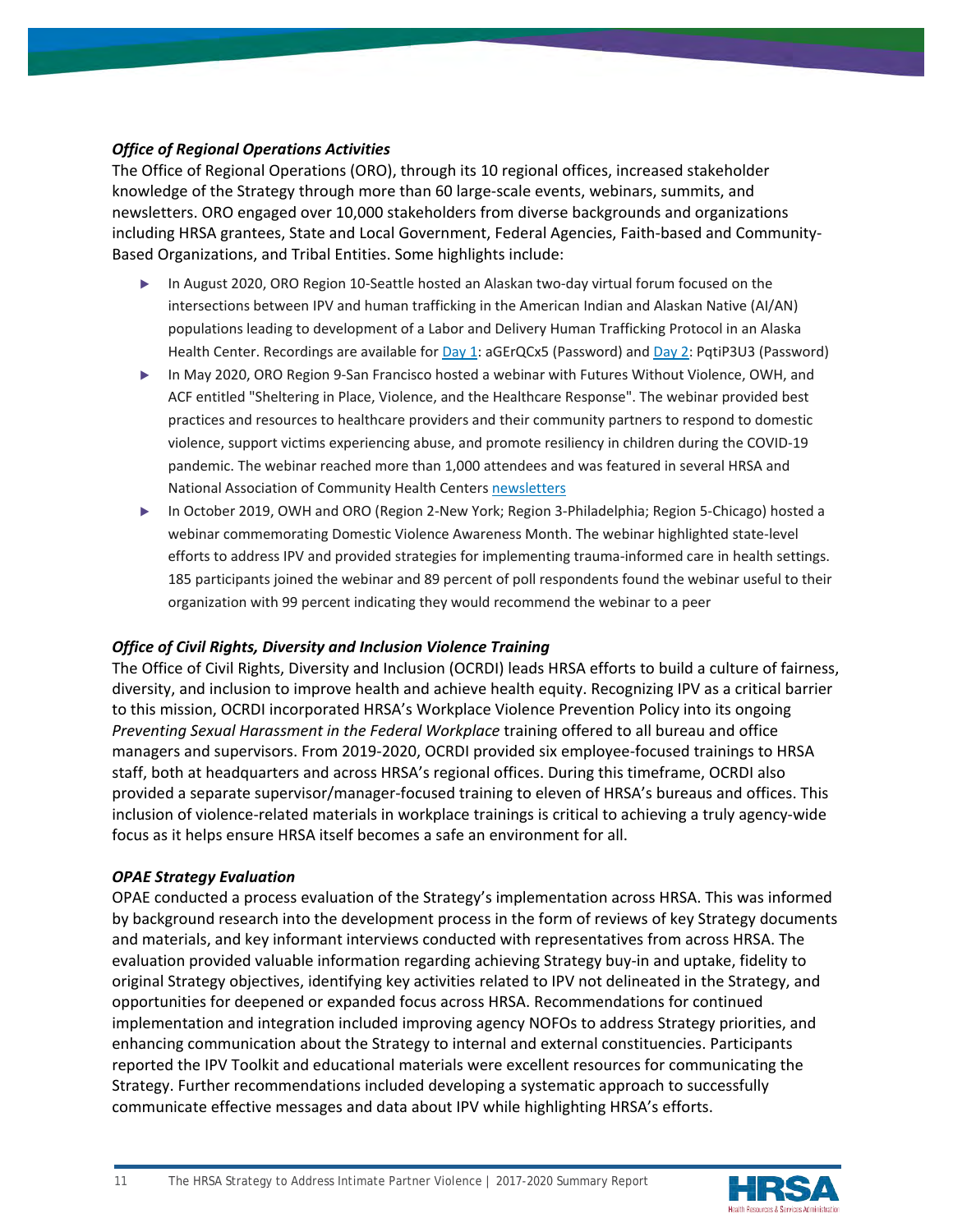# *Office of Regional Operations Activities*

The Office of Regional Operations (ORO), through its 10 regional offices, increased stakeholder knowledge of the Strategy through more than 60 large-scale events, webinars, summits, and newsletters. ORO engaged over 10,000 stakeholders from diverse backgrounds and organizations including HRSA grantees, State and Local Government, Federal Agencies, Faith-based and Community-Based Organizations, and Tribal Entities. Some highlights include:

- ▶ In August 2020, ORO Region 10-Seattle hosted an Alaskan two-day virtual forum focused on the intersections between IPV and human trafficking in the American Indian and Alaskan Native (AI/AN) populations leading to development of a Labor and Delivery Human Trafficking Protocol in an Alaska Health Center. Recordings are available fo[r Day 1:](https://hhs.webex.com/ec3300/eventcenter/recording/recordAction.do?theAction=poprecord&siteurl=hhs&entappname=url3300&internalRecordTicket=4832534b00000002ffe31c0b6d754843d2bb128c1c73d1dace892d434f20d3bafb6c2a1b27c7143c&renewticket=0&isurlact=true&format=short&rnd=2676547771&RCID=4eed71d15d16f8ae99ec60b5c16fb837&rID=1916166&needFilter=false&recordID=1916166&apiname=lsr.php&AT=pb&actappname=ec3300&&SP=EC&entactname=%2FnbrRecordingURL.do&actname=%2Feventcenter%2Fframe%2Fg.do) aGErQCx5 (Password) and [Day 2:](https://hhs.webex.com/ec3300/eventcenter/recording/recordAction.do?theAction=poprecord&siteurl=hhs&entappname=url3300&internalRecordTicket=4832534b00000002aec0776fe8204da798b67c53ebce72b811150bc2eac91c295d05c4ceef942a68&renewticket=0&isurlact=true&format=short&rnd=8071761757&RCID=b3234882cce9b08f78124892aabe1b66&rID=1926116&needFilter=false&recordID=1926116&apiname=lsr.php&AT=pb&actappname=ec3300&&SP=EC&entactname=%2FnbrRecordingURL.do&actname=%2Feventcenter%2Fframe%2Fg.do) PqtiP3U3 (Password)
- ▶ In May 2020, ORO Region 9-San Francisco hosted a webinar with Futures Without Violence, OWH, and ACF entitled "Sheltering in Place, Violence, and the Healthcare Response". The webinar provided best practices and resources to healthcare providers and their community partners to respond to domestic violence, support victims experiencing abuse, and promote resiliency in children during the COVID-19 pandemic. The webinar reached more than 1,000 attendees and was featured in several HRSA and National Association of Community Health Centers [newsletters](https://blog.nachc.org/intimate-partner-violence-and-human-trafficking-how-health-centers-can-respond-during-covid-19/)
- ▶ In October 2019, OWH and ORO (Region 2-New York; Region 3-Philadelphia; Region 5-Chicago) hosted a webinar commemorating Domestic Violence Awareness Month. The webinar highlighted state-level efforts to address IPV and provided strategies for implementing trauma-informed care in health settings. 185 participants joined the webinar and 89 percent of poll respondents found the webinar useful to their organization with 99 percent indicating they would recommend the webinar to a peer

# *Office of Civil Rights, Diversity and Inclusion Violence Training*

The Office of Civil Rights, Diversity and Inclusion (OCRDI) leads HRSA efforts to build a culture of fairness, diversity, and inclusion to improve health and achieve health equity. Recognizing IPV as a critical barrier to this mission, OCRDI incorporated HRSA's Workplace Violence Prevention Policy into its ongoing *Preventing Sexual Harassment in the Federal Workplace* training offered to all bureau and office managers and supervisors. From 2019-2020, OCRDI provided six employee-focused trainings to HRSA staff, both at headquarters and across HRSA's regional offices. During this timeframe, OCRDI also provided a separate supervisor/manager-focused training to eleven of HRSA's bureaus and offices. This inclusion of violence-related materials in workplace trainings is critical to achieving a truly agency-wide focus as it helps ensure HRSA itself becomes a safe an environment for all.

# *OPAE Strategy Evaluation*

OPAE conducted a process evaluation of the Strategy's implementation across HRSA. This was informed by background research into the development process in the form of reviews of key Strategy documents and materials, and key informant interviews conducted with representatives from across HRSA. The evaluation provided valuable information regarding achieving Strategy buy-in and uptake, fidelity to original Strategy objectives, identifying key activities related to IPV not delineated in the Strategy, and opportunities for deepened or expanded focus across HRSA. Recommendations for continued implementation and integration included improving agency NOFOs to address Strategy priorities, and enhancing communication about the Strategy to internal and external constituencies. Participants reported the IPV Toolkit and educational materials were excellent resources for communicating the Strategy. Further recommendations included developing a systematic approach to successfully communicate effective messages and data about IPV while highlighting HRSA's efforts.



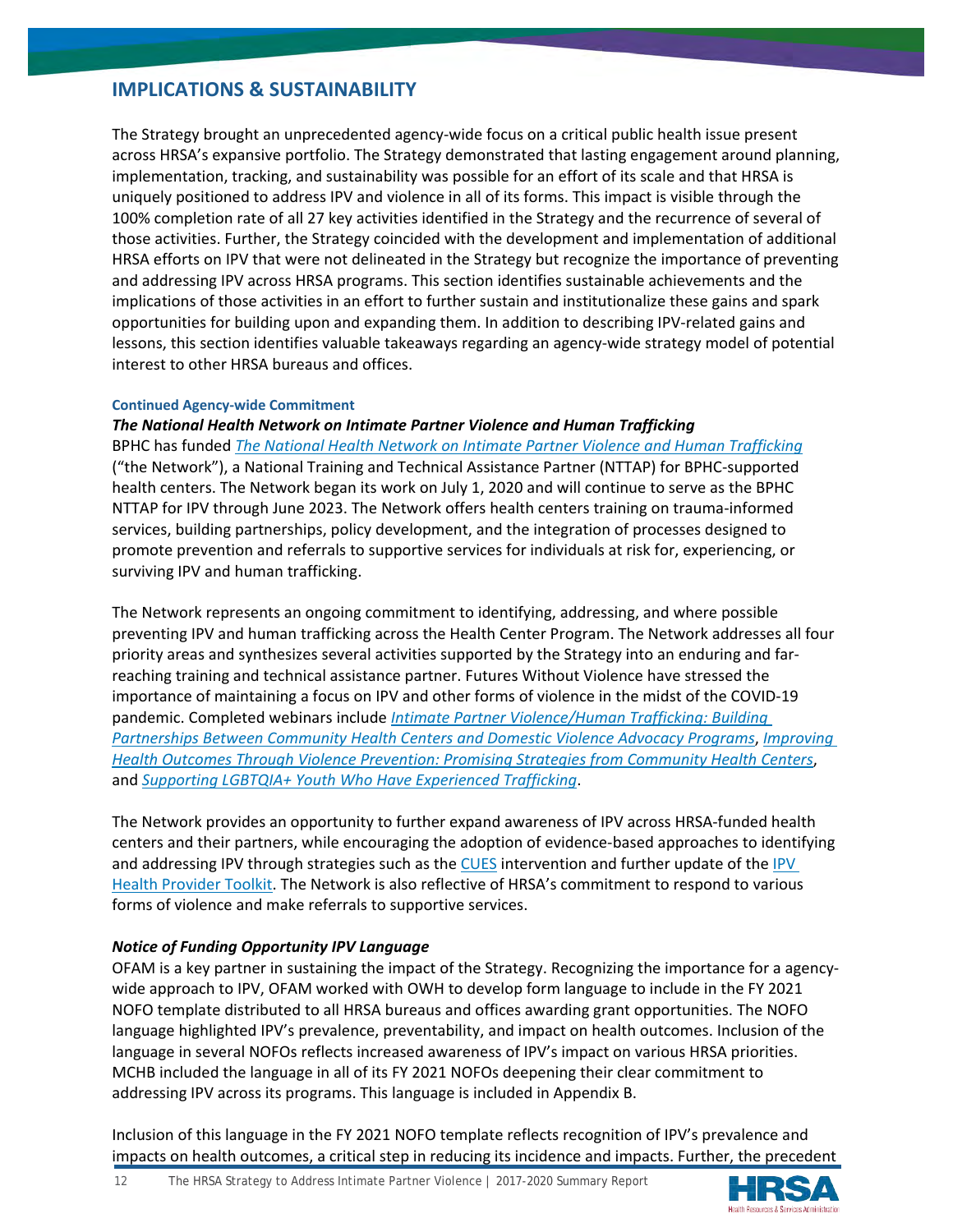# **IMPLICATIONS & SUSTAINABILITY**

The Strategy brought an unprecedented agency-wide focus on a critical public health issue present across HRSA's expansive portfolio. The Strategy demonstrated that lasting engagement around planning, implementation, tracking, and sustainability was possible for an effort of its scale and that HRSA is uniquely positioned to address IPV and violence in all of its forms. This impact is visible through the 100% completion rate of all 27 key activities identified in the Strategy and the recurrence of several of those activities. Further, the Strategy coincided with the development and implementation of additional HRSA efforts on IPV that were not delineated in the Strategy but recognize the importance of preventing and addressing IPV across HRSA programs. This section identifies sustainable achievements and the implications of those activities in an effort to further sustain and institutionalize these gains and spark opportunities for building upon and expanding them. In addition to describing IPV-related gains and lessons, this section identifies valuable takeaways regarding an agency-wide strategy model of potential interest to other HRSA bureaus and offices.

#### **Continued Agency-wide Commitment**

# *The National Health Network on Intimate Partner Violence and Human Trafficking*

BPHC has funded *[The National Health Network on Intimate Partner Violence and Human Trafficking](https://www.futureswithoutviolence.org/health/nationalhealthnetwork)* ("the Network"), a National Training and Technical Assistance Partner (NTTAP) for BPHC-supported health centers. The Network began its work on July 1, 2020 and will continue to serve as the BPHC NTTAP for IPV through June 2023. The Network offers health centers training on trauma-informed services, building partnerships, policy development, and the integration of processes designed to promote prevention and referrals to supportive services for individuals at risk for, experiencing, or surviving IPV and human trafficking.

The Network represents an ongoing commitment to identifying, addressing, and where possible preventing IPV and human trafficking across the Health Center Program. The Network addresses all four priority areas and synthesizes several activities supported by the Strategy into an enduring and farreaching training and technical assistance partner. Futures Without Violence have stressed the importance of maintaining a focus on IPV and other forms of violence in the midst of the COVID-19 pandemic. Completed webinars include *[Intimate Partner Violence/Human Trafficking: Building](https://www.futureswithoutviolence.org/MOUwebinar)  [Partnerships Between Community Health Centers and Domestic Violence Advocacy Programs](https://www.futureswithoutviolence.org/MOUwebinar)*, *[Improving](https://www.futureswithoutviolence.org/improving-health-outcomes-through-violence-prevention-promising-strategies-from-community-health-centers/)  [Health Outcomes Through Violence Prevention: Promising Strategies from Community Health Centers](https://www.futureswithoutviolence.org/improving-health-outcomes-through-violence-prevention-promising-strategies-from-community-health-centers/)*, and *[Supporting LGBTQIA+ Youth Who Have Experienced Trafficking](https://www.lgbtqiahealtheducation.org/courses/supporting-lgbtqia-youth-who-have-experienced-trafficking)*.

The Network provides an opportunity to further expand awareness of IPV across HRSA-funded health centers and their partners, while encouraging the adoption of evidence-based approaches to identifying and addressing IPV through strategies such as the [CUES](https://www.futureswithoutviolence.org/wp-content/uploads/CUES-graphic-Final.pdf) intervention and further update of the IPV [Health Provider Toolkit.](https://ipvhealth.org/) The Network is also reflective of HRSA's commitment to respond to various forms of violence and make referrals to supportive services.

# *Notice of Funding Opportunity IPV Language*

OFAM is a key partner in sustaining the impact of the Strategy. Recognizing the importance for a agencywide approach to IPV, OFAM worked with OWH to develop form language to include in the FY 2021 NOFO template distributed to all HRSA bureaus and offices awarding grant opportunities. The NOFO language highlighted IPV's prevalence, preventability, and impact on health outcomes. Inclusion of the language in several NOFOs reflects increased awareness of IPV's impact on various HRSA priorities. MCHB included the language in all of its FY 2021 NOFOs deepening their clear commitment to addressing IPV across its programs. This language is included in Appendix B.

Inclusion of this language in the FY 2021 NOFO template reflects recognition of IPV's prevalence and impacts on health outcomes, a critical step in reducing its incidence and impacts. Further, the precedent

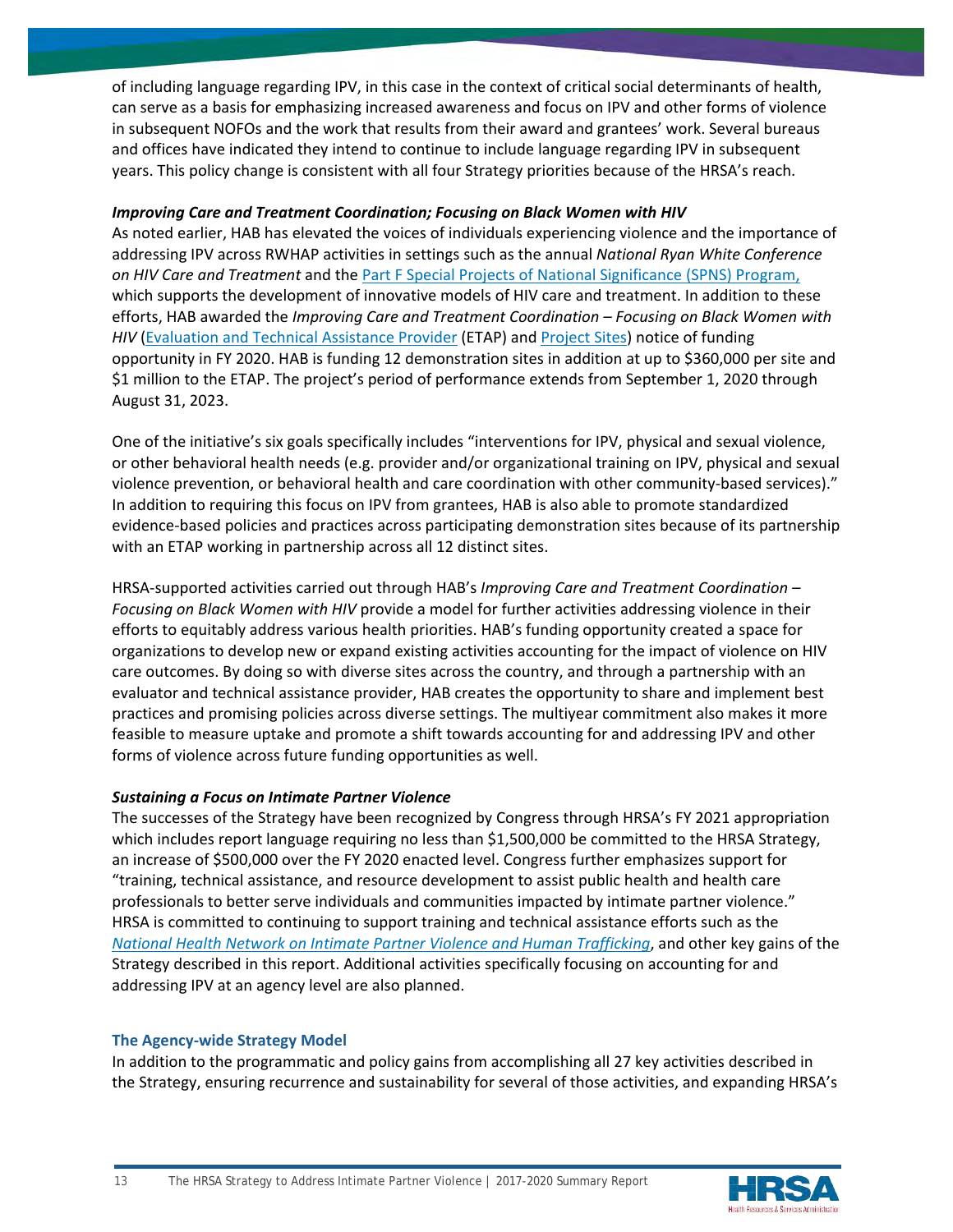of including language regarding IPV, in this case in the context of critical social determinants of health, can serve as a basis for emphasizing increased awareness and focus on IPV and other forms of violence in subsequent NOFOs and the work that results from their award and grantees' work. Several bureaus and offices have indicated they intend to continue to include language regarding IPV in subsequent years. This policy change is consistent with all four Strategy priorities because of the HRSA's reach.

# *Improving Care and Treatment Coordination; Focusing on Black Women with HIV*

As noted earlier, HAB has elevated the voices of individuals experiencing violence and the importance of addressing IPV across RWHAP activities in settings such as the annual *National Ryan White Conference on HIV Care and Treatment* and the [Part F Special Projects of National Significance \(SPNS\) Program,](https://hab.hrsa.gov/about-ryan-white-hivaids-program/part-f-special-projects-national-significance-spns-program) which supports the development of innovative models of HIV care and treatment. In addition to these efforts, HAB awarded the *Improving Care and Treatment Coordination – Focusing on Black Women with HIV* [\(Evaluation and Technical Assistance Provider](https://www.hrsa.gov/grants/find-funding/hrsa-20-115) (ETAP) an[d Project Sites\)](https://hab.hrsa.gov/about-ryan-white-hivaids-program/part-f-special-projects-national-significance-spns-program/fy2020-awards) notice of funding opportunity in FY 2020. HAB is funding 12 demonstration sites in addition at up to \$360,000 per site and \$1 million to the ETAP. The project's period of performance extends from September 1, 2020 through August 31, 2023.

One of the initiative's six goals specifically includes "interventions for IPV, physical and sexual violence, or other behavioral health needs (e.g. provider and/or organizational training on IPV, physical and sexual violence prevention, or behavioral health and care coordination with other community-based services)." In addition to requiring this focus on IPV from grantees, HAB is also able to promote standardized evidence-based policies and practices across participating demonstration sites because of its partnership with an ETAP working in partnership across all 12 distinct sites.

HRSA-supported activities carried out through HAB's *Improving Care and Treatment Coordination – Focusing on Black Women with HIV* provide a model for further activities addressing violence in their efforts to equitably address various health priorities. HAB's funding opportunity created a space for organizations to develop new or expand existing activities accounting for the impact of violence on HIV care outcomes. By doing so with diverse sites across the country, and through a partnership with an evaluator and technical assistance provider, HAB creates the opportunity to share and implement best practices and promising policies across diverse settings. The multiyear commitment also makes it more feasible to measure uptake and promote a shift towards accounting for and addressing IPV and other forms of violence across future funding opportunities as well.

# *Sustaining a Focus on Intimate Partner Violence*

The successes of the Strategy have been recognized by Congress through HRSA's FY 2021 appropriation which includes report language requiring no less than \$1,500,000 be committed to the HRSA Strategy, an increase of \$500,000 over the FY 2020 enacted level. Congress further emphasizes support for "training, technical assistance, and resource development to assist public health and health care professionals to better serve individuals and communities impacted by intimate partner violence." HRSA is committed to continuing to support training and technical assistance efforts such as the *[National Health Network on Intimate Partner Violence and Human Trafficking](https://www.futureswithoutviolence.org/health/nationalhealthnetwork)*, and other key gains of the Strategy described in this report. Additional activities specifically focusing on accounting for and addressing IPV at an agency level are also planned.

# **The Agency-wide Strategy Model**

In addition to the programmatic and policy gains from accomplishing all 27 key activities described in the Strategy, ensuring recurrence and sustainability for several of those activities, and expanding HRSA's



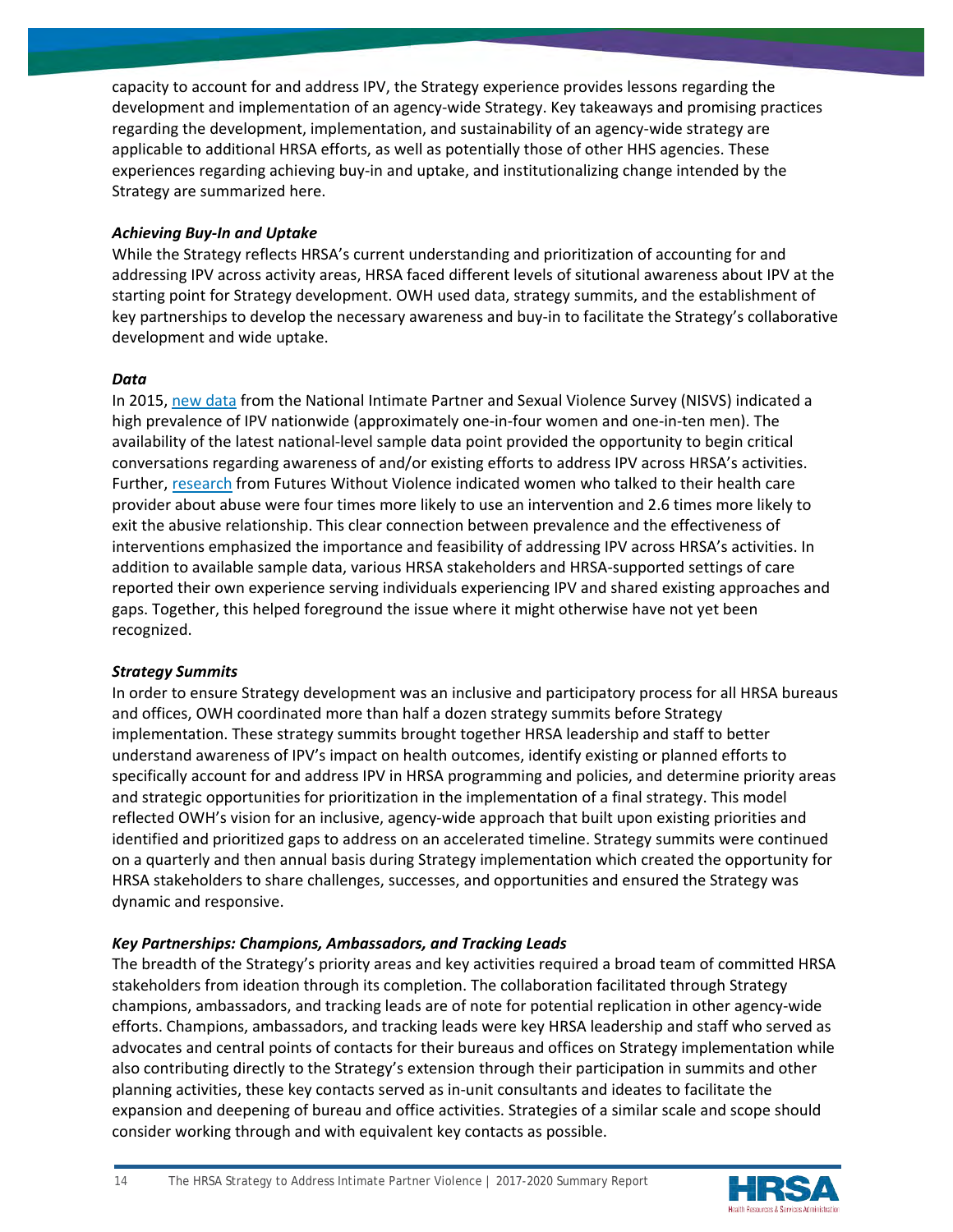capacity to account for and address IPV, the Strategy experience provides lessons regarding the development and implementation of an agency-wide Strategy. Key takeaways and promising practices regarding the development, implementation, and sustainability of an agency-wide strategy are applicable to additional HRSA efforts, as well as potentially those of other HHS agencies. These experiences regarding achieving buy-in and uptake, and institutionalizing change intended by the Strategy are summarized here.

# *Achieving Buy-In and Uptake*

While the Strategy reflects HRSA's current understanding and prioritization of accounting for and addressing IPV across activity areas, HRSA faced different levels of situtional awareness about IPV at the starting point for Strategy development. OWH used data, strategy summits, and the establishment of key partnerships to develop the necessary awareness and buy-in to facilitate the Strategy's collaborative development and wide uptake.

# *Data*

In 2015[, new data](https://www.cdc.gov/violenceprevention/pdf/nisvs-statereportbook.pdf) from the National Intimate Partner and Sexual Violence Survey (NISVS) indicated a high prevalence of IPV nationwide (approximately one-in-four women and one-in-ten men). The availability of the latest national-level sample data point provided the opportunity to begin critical conversations regarding awareness of and/or existing efforts to address IPV across HRSA's activities. Further[, research](https://www.ncbi.nlm.nih.gov/pmc/articles/PMC1525344/) from Futures Without Violence indicated women who talked to their health care provider about abuse were four times more likely to use an intervention and 2.6 times more likely to exit the abusive relationship. This clear connection between prevalence and the effectiveness of interventions emphasized the importance and feasibility of addressing IPV across HRSA's activities. In addition to available sample data, various HRSA stakeholders and HRSA-supported settings of care reported their own experience serving individuals experiencing IPV and shared existing approaches and gaps. Together, this helped foreground the issue where it might otherwise have not yet been recognized.

# *Strategy Summits*

In order to ensure Strategy development was an inclusive and participatory process for all HRSA bureaus and offices, OWH coordinated more than half a dozen strategy summits before Strategy implementation. These strategy summits brought together HRSA leadership and staff to better understand awareness of IPV's impact on health outcomes, identify existing or planned efforts to specifically account for and address IPV in HRSA programming and policies, and determine priority areas and strategic opportunities for prioritization in the implementation of a final strategy. This model reflected OWH's vision for an inclusive, agency-wide approach that built upon existing priorities and identified and prioritized gaps to address on an accelerated timeline. Strategy summits were continued on a quarterly and then annual basis during Strategy implementation which created the opportunity for HRSA stakeholders to share challenges, successes, and opportunities and ensured the Strategy was dynamic and responsive.

# *Key Partnerships: Champions, Ambassadors, and Tracking Leads*

The breadth of the Strategy's priority areas and key activities required a broad team of committed HRSA stakeholders from ideation through its completion. The collaboration facilitated through Strategy champions, ambassadors, and tracking leads are of note for potential replication in other agency-wide efforts. Champions, ambassadors, and tracking leads were key HRSA leadership and staff who served as advocates and central points of contacts for their bureaus and offices on Strategy implementation while also contributing directly to the Strategy's extension through their participation in summits and other planning activities, these key contacts served as in-unit consultants and ideates to facilitate the expansion and deepening of bureau and office activities. Strategies of a similar scale and scope should consider working through and with equivalent key contacts as possible.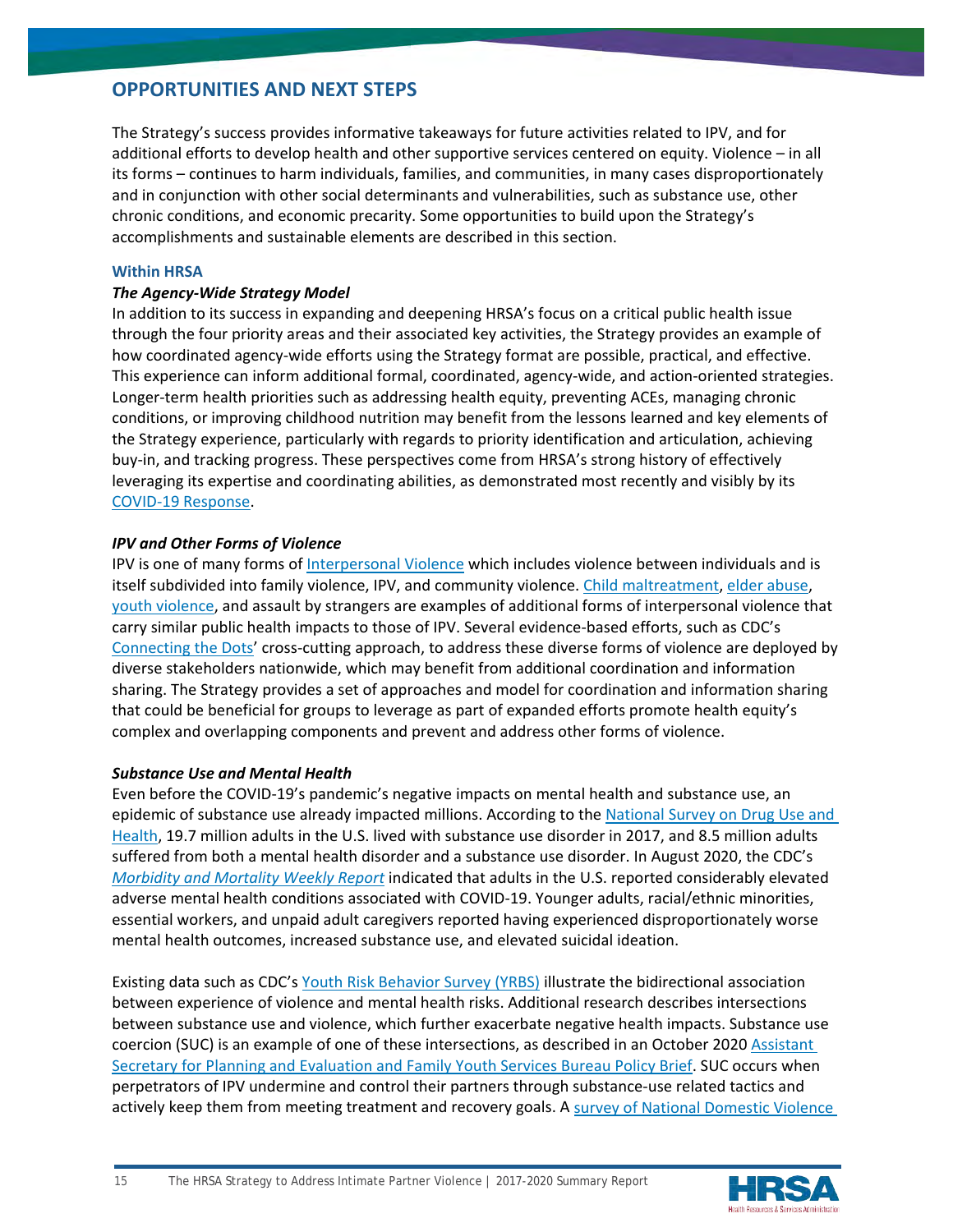# **OPPORTUNITIES AND NEXT STEPS**

The Strategy's success provides informative takeaways for future activities related to IPV, and for additional efforts to develop health and other supportive services centered on equity. Violence – in all its forms – continues to harm individuals, families, and communities, in many cases disproportionately and in conjunction with other social determinants and vulnerabilities, such as substance use, other chronic conditions, and economic precarity. Some opportunities to build upon the Strategy's accomplishments and sustainable elements are described in this section.

## **Within HRSA**

## *The Agency-Wide Strategy Model*

In addition to its success in expanding and deepening HRSA's focus on a critical public health issue through the four priority areas and their associated key activities, the Strategy provides an example of how coordinated agency-wide efforts using the Strategy format are possible, practical, and effective. This experience can inform additional formal, coordinated, agency-wide, and action-oriented strategies. Longer-term health priorities such as addressing health equity, preventing ACEs, managing chronic conditions, or improving childhood nutrition may benefit from the lessons learned and key elements of the Strategy experience, particularly with regards to priority identification and articulation, achieving buy-in, and tracking progress. These perspectives come from HRSA's strong history of effectively leveraging its expertise and coordinating abilities, as demonstrated most recently and visibly by its [COVID-19 Response.](https://www.hrsa.gov/coronavirus)

# *IPV and Other Forms of Violence*

IPV is one of many forms of [Interpersonal Violence](https://www.who.int/violenceprevention/approach/definition/en/#:%7E:text=Interpersonal%20violence%20refers%20to%20violence,partner%20violence%20and%20community%20violence.&text=Collective%20violence%20refers%20to%20violence,social%2C%20political%20and%20economic%20violence) which includes violence between individuals and is itself subdivided into family violence, IPV, and community violence. [Child maltreatment,](https://www.cdc.gov/violenceprevention/communicationresources/infographics/CAN.html) [elder abuse,](https://www.cdc.gov/violenceprevention/elderabuse/fastfact.html) [youth violence,](https://www.cdc.gov/violenceprevention/communicationresources/infographics/yv.html) and assault by strangers are examples of additional forms of interpersonal violence that carry similar public health impacts to those of IPV. Several evidence-based efforts, such as CDC's [Connecting the Dots'](https://www.cdc.gov/violenceprevention/about/connectingthedots.html) cross-cutting approach, to address these diverse forms of violence are deployed by diverse stakeholders nationwide, which may benefit from additional coordination and information sharing. The Strategy provides a set of approaches and model for coordination and information sharing that could be beneficial for groups to leverage as part of expanded efforts promote health equity's complex and overlapping components and prevent and address other forms of violence.

# *Substance Use and Mental Health*

Even before the COVID-19's pandemic's negative impacts on mental health and substance use, an epidemic of substance use already impacted millions. According to the [National Survey on Drug Use and](https://www.samhsa.gov/data/report/2017-nsduh-annual-national-report)  [Health,](https://www.samhsa.gov/data/report/2017-nsduh-annual-national-report) 19.7 million adults in the U.S. lived with substance use disorder in 2017, and 8.5 million adults suffered from both a mental health disorder and a substance use disorder. In August 2020, the CDC's *[Morbidity and Mortality Weekly Report](https://www.cdc.gov/mmwr/volumes/69/wr/mm6932a1.htm)* indicated that adults in the U.S. reported considerably elevated adverse mental health conditions associated with COVID-19. Younger adults, racial/ethnic minorities, essential workers, and unpaid adult caregivers reported having experienced disproportionately worse mental health outcomes, increased substance use, and elevated suicidal ideation.

Existing data such as CDC's [Youth Risk Behavior Survey \(YRBS\)](https://www.cdc.gov/healthyyouth/data/yrbs/pdf/YRBSDataSummaryTrendsReport2019-508.pdf) illustrate the bidirectional association between experience of violence and mental health risks. Additional research describes intersections between substance use and violence, which further exacerbate negative health impacts. Substance use coercion (SUC) is an example of one of these intersections, as described in an October 2020 [Assistant](https://aspe.hhs.gov/system/files/pdf/264166/Substance-Use-Coercion-Policy-Brief.pdf)  [Secretary for Planning and Evaluation and Family Youth Services Bureau Policy Brief.](https://aspe.hhs.gov/system/files/pdf/264166/Substance-Use-Coercion-Policy-Brief.pdf) SUC occurs when perpetrators of IPV undermine and control their partners through substance-use related tactics and actively keep them from meeting treatment and recovery goals. A [survey of National Domestic Violence](http://www.nationalcenterdvtraumamh.org/2015/04/new-from-the-hotline-ncdvtmh-animated-info-graphic-and-one-page-summary-illustrating-the-results-of-the-mental-health-coercion-survey/) 

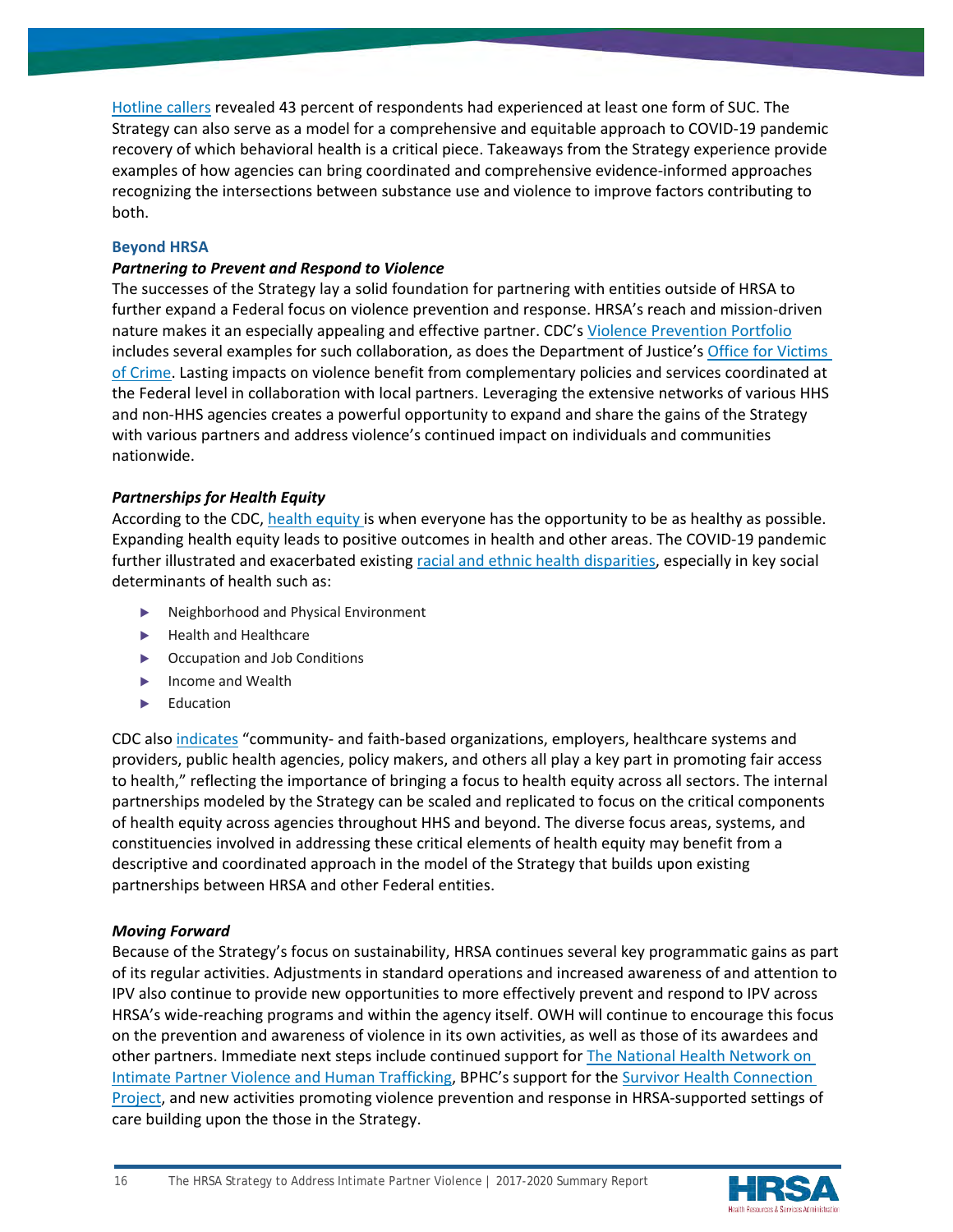[Hotline callers](http://www.nationalcenterdvtraumamh.org/2015/04/new-from-the-hotline-ncdvtmh-animated-info-graphic-and-one-page-summary-illustrating-the-results-of-the-mental-health-coercion-survey/) revealed 43 percent of respondents had experienced at least one form of SUC. The Strategy can also serve as a model for a comprehensive and equitable approach to COVID-19 pandemic recovery of which behavioral health is a critical piece. Takeaways from the Strategy experience provide examples of how agencies can bring coordinated and comprehensive evidence-informed approaches recognizing the intersections between substance use and violence to improve factors contributing to both.

## **Beyond HRSA**

## *Partnering to Prevent and Respond to Violence*

The successes of the Strategy lay a solid foundation for partnering with entities outside of HRSA to further expand a Federal focus on violence prevention and response. HRSA's reach and mission-driven nature makes it an especially appealing and effective partner. CDC'[s Violence Prevention Portfolio](https://www.cdc.gov/violenceprevention/index.html) includes several examples for such collaboration, as does the Department of Justice's [Office for Victims](https://ovc.ojp.gov/)  [of Crime.](https://ovc.ojp.gov/) Lasting impacts on violence benefit from complementary policies and services coordinated at the Federal level in collaboration with local partners. Leveraging the extensive networks of various HHS and non-HHS agencies creates a powerful opportunity to expand and share the gains of the Strategy with various partners and address violence's continued impact on individuals and communities nationwide.

# *Partnerships for Health Equity*

According to the CDC, [health equity](https://www.cdc.gov/coronavirus/2019-ncov/community/health-equity/index.html) is when everyone has the opportunity to be as healthy as possible. Expanding health equity leads to positive outcomes in health and other areas. The COVID-19 pandemic further illustrated and exacerbated existing [racial and ethnic health disparities,](https://www.cdc.gov/coronavirus/2019-ncov/community/health-equity/racial-ethnic-disparities/index.html) especially in key social determinants of health such as:

- ▶ Neighborhood and Physical Environment
- ▶ Health and Healthcare
- ▶ Occupation and Job Conditions
- ▶ Income and Wealth
- ▶ Education

CDC also [indicates](https://www.cdc.gov/coronavirus/2019-ncov/community/health-equity/what-we-can-do.html) "community- and faith-based organizations, employers, healthcare systems and providers, public health agencies, policy makers, and others all play a key part in promoting fair access to health," reflecting the importance of bringing a focus to health equity across all sectors. The internal partnerships modeled by the Strategy can be scaled and replicated to focus on the critical components of health equity across agencies throughout HHS and beyond. The diverse focus areas, systems, and constituencies involved in addressing these critical elements of health equity may benefit from a descriptive and coordinated approach in the model of the Strategy that builds upon existing partnerships between HRSA and other Federal entities.

#### *Moving Forward*

Because of the Strategy's focus on sustainability, HRSA continues several key programmatic gains as part of its regular activities. Adjustments in standard operations and increased awareness of and attention to IPV also continue to provide new opportunities to more effectively prevent and respond to IPV across HRSA's wide-reaching programs and within the agency itself. OWH will continue to encourage this focus on the prevention and awareness of violence in its own activities, as well as those of its awardees and other partners. Immediate next steps include continued support for [The National Health Network on](https://www.futureswithoutviolence.org/health/nationalhealthnetwork)  [Intimate Partner Violence and Human Trafficking,](https://www.futureswithoutviolence.org/health/nationalhealthnetwork) BPHC's support for the [Survivor Health Connection](https://www.thehotline.org/resources/survivor-health-connection-project/)  [Project,](https://www.thehotline.org/resources/survivor-health-connection-project/) and new activities promoting violence prevention and response in HRSA-supported settings of care building upon the those in the Strategy.

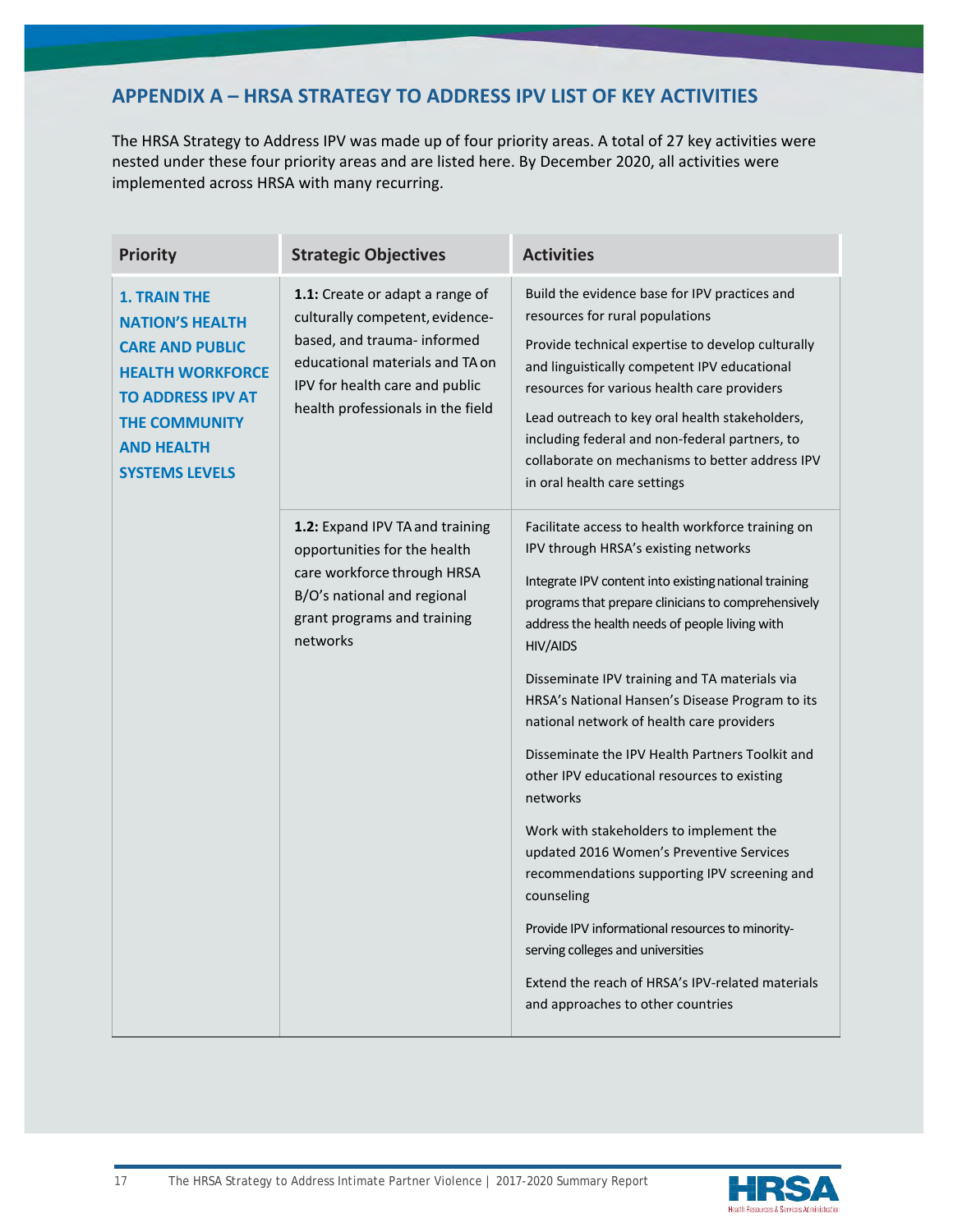# **APPENDIX A – HRSA STRATEGY TO ADDRESS IPV LIST OF KEY ACTIVITIES**

The HRSA Strategy to Address IPV was made up of four priority areas. A total of 27 key activities were nested under these four priority areas and are listed here. By December 2020, all activities were implemented across HRSA with many recurring.

| <b>Priority</b>                                                                                                                                                                                      | <b>Strategic Objectives</b>                                                                                                                                                                                 | <b>Activities</b>                                                                                                                                                                                                                                                                                                                                                                                                                                                                                                                                                                                                                                                                                                                                                                                                                                                                    |
|------------------------------------------------------------------------------------------------------------------------------------------------------------------------------------------------------|-------------------------------------------------------------------------------------------------------------------------------------------------------------------------------------------------------------|--------------------------------------------------------------------------------------------------------------------------------------------------------------------------------------------------------------------------------------------------------------------------------------------------------------------------------------------------------------------------------------------------------------------------------------------------------------------------------------------------------------------------------------------------------------------------------------------------------------------------------------------------------------------------------------------------------------------------------------------------------------------------------------------------------------------------------------------------------------------------------------|
| <b>1. TRAIN THE</b><br><b>NATION'S HEALTH</b><br><b>CARE AND PUBLIC</b><br><b>HEALTH WORKFORCE</b><br><b>TO ADDRESS IPV AT</b><br><b>THE COMMUNITY</b><br><b>AND HEALTH</b><br><b>SYSTEMS LEVELS</b> | 1.1: Create or adapt a range of<br>culturally competent, evidence-<br>based, and trauma- informed<br>educational materials and TA on<br>IPV for health care and public<br>health professionals in the field | Build the evidence base for IPV practices and<br>resources for rural populations<br>Provide technical expertise to develop culturally<br>and linguistically competent IPV educational<br>resources for various health care providers<br>Lead outreach to key oral health stakeholders,<br>including federal and non-federal partners, to<br>collaborate on mechanisms to better address IPV<br>in oral health care settings                                                                                                                                                                                                                                                                                                                                                                                                                                                          |
|                                                                                                                                                                                                      | 1.2: Expand IPV TA and training<br>opportunities for the health<br>care workforce through HRSA<br>B/O's national and regional<br>grant programs and training<br>networks                                    | Facilitate access to health workforce training on<br>IPV through HRSA's existing networks<br>Integrate IPV content into existing national training<br>programs that prepare clinicians to comprehensively<br>address the health needs of people living with<br><b>HIV/AIDS</b><br>Disseminate IPV training and TA materials via<br>HRSA's National Hansen's Disease Program to its<br>national network of health care providers<br>Disseminate the IPV Health Partners Toolkit and<br>other IPV educational resources to existing<br>networks<br>Work with stakeholders to implement the<br>updated 2016 Women's Preventive Services<br>recommendations supporting IPV screening and<br>counseling<br>Provide IPV informational resources to minority-<br>serving colleges and universities<br>Extend the reach of HRSA's IPV-related materials<br>and approaches to other countries |

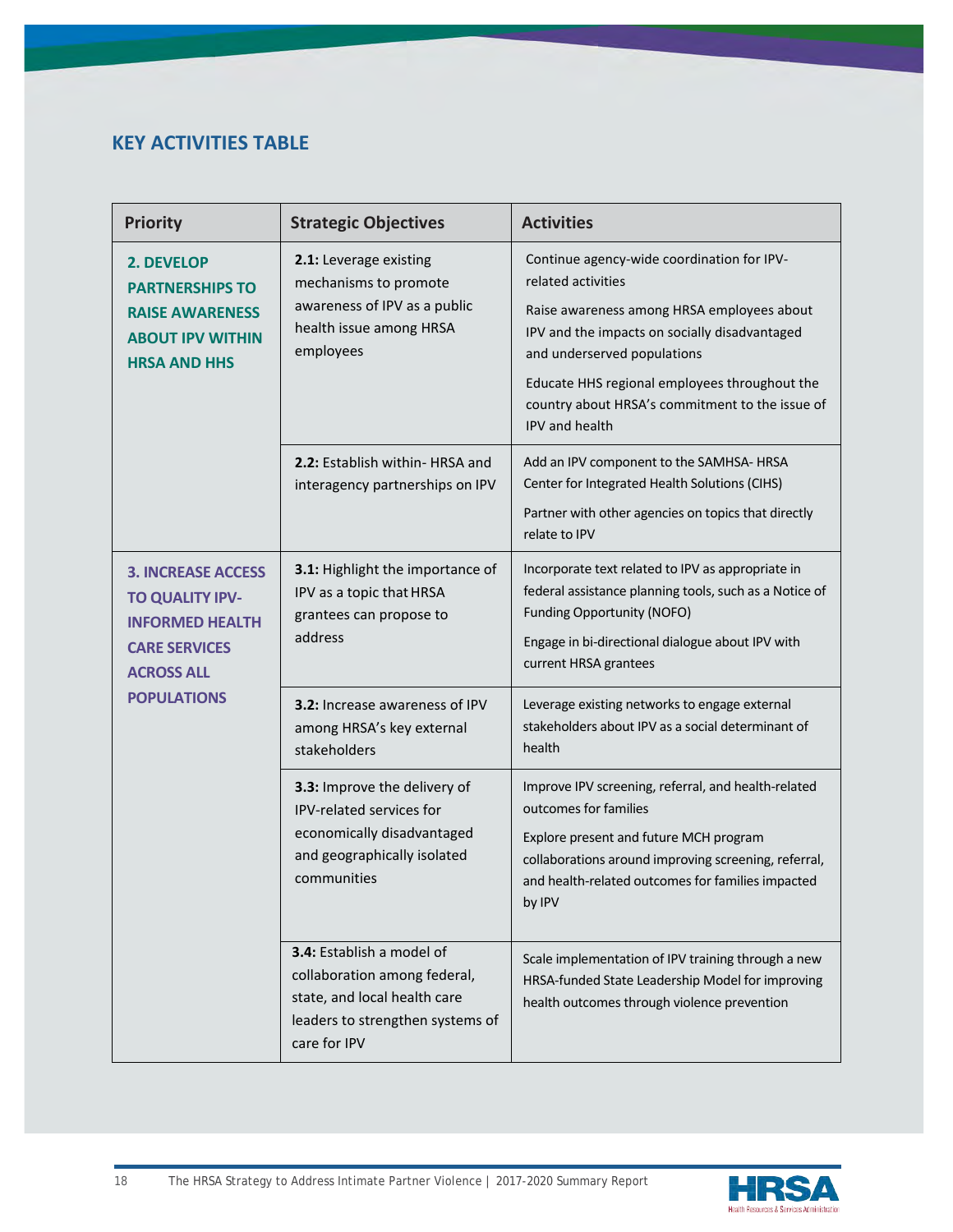# **KEY ACTIVITIES TABLE**

| <b>Priority</b>                                                                                                                                  | <b>Strategic Objectives</b>                                                                                                                   | <b>Activities</b>                                                                                                                                                                                                                                                                                                    |
|--------------------------------------------------------------------------------------------------------------------------------------------------|-----------------------------------------------------------------------------------------------------------------------------------------------|----------------------------------------------------------------------------------------------------------------------------------------------------------------------------------------------------------------------------------------------------------------------------------------------------------------------|
| 2. DEVELOP<br><b>PARTNERSHIPS TO</b><br><b>RAISE AWARENESS</b><br><b>ABOUT IPV WITHIN</b><br><b>HRSA AND HHS</b>                                 | 2.1: Leverage existing<br>mechanisms to promote<br>awareness of IPV as a public<br>health issue among HRSA<br>employees                       | Continue agency-wide coordination for IPV-<br>related activities<br>Raise awareness among HRSA employees about<br>IPV and the impacts on socially disadvantaged<br>and underserved populations<br>Educate HHS regional employees throughout the<br>country about HRSA's commitment to the issue of<br>IPV and health |
|                                                                                                                                                  | 2.2: Establish within- HRSA and<br>interagency partnerships on IPV                                                                            | Add an IPV component to the SAMHSA-HRSA<br>Center for Integrated Health Solutions (CIHS)<br>Partner with other agencies on topics that directly<br>relate to IPV                                                                                                                                                     |
| <b>3. INCREASE ACCESS</b><br><b>TO QUALITY IPV-</b><br><b>INFORMED HEALTH</b><br><b>CARE SERVICES</b><br><b>ACROSS ALL</b><br><b>POPULATIONS</b> | 3.1: Highlight the importance of<br>IPV as a topic that HRSA<br>grantees can propose to<br>address                                            | Incorporate text related to IPV as appropriate in<br>federal assistance planning tools, such as a Notice of<br><b>Funding Opportunity (NOFO)</b><br>Engage in bi-directional dialogue about IPV with<br>current HRSA grantees                                                                                        |
|                                                                                                                                                  | <b>3.2:</b> Increase awareness of IPV<br>among HRSA's key external<br>stakeholders                                                            | Leverage existing networks to engage external<br>stakeholders about IPV as a social determinant of<br>health                                                                                                                                                                                                         |
|                                                                                                                                                  | 3.3: Improve the delivery of<br>IPV-related services for<br>economically disadvantaged<br>and geographically isolated<br>communities          | Improve IPV screening, referral, and health-related<br>outcomes for families<br>Explore present and future MCH program<br>collaborations around improving screening, referral,<br>and health-related outcomes for families impacted<br>by IPV                                                                        |
|                                                                                                                                                  | 3.4: Establish a model of<br>collaboration among federal,<br>state, and local health care<br>leaders to strengthen systems of<br>care for IPV | Scale implementation of IPV training through a new<br>HRSA-funded State Leadership Model for improving<br>health outcomes through violence prevention                                                                                                                                                                |

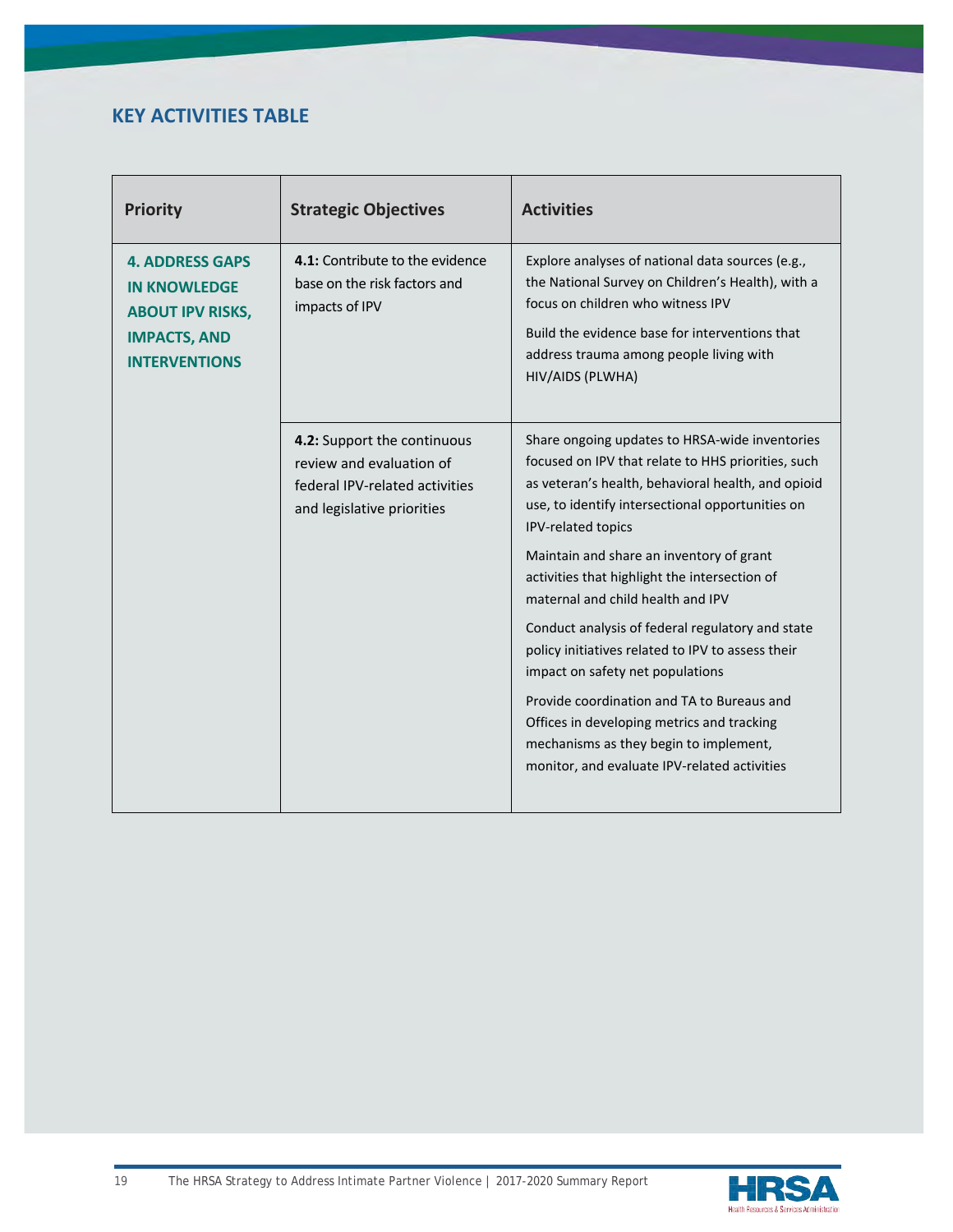# **KEY ACTIVITIES TABLE**

| <b>Priority</b>                                                                                                         | <b>Strategic Objectives</b>                                                                                             | <b>Activities</b>                                                                                                                                                                                                                                           |
|-------------------------------------------------------------------------------------------------------------------------|-------------------------------------------------------------------------------------------------------------------------|-------------------------------------------------------------------------------------------------------------------------------------------------------------------------------------------------------------------------------------------------------------|
| <b>4. ADDRESS GAPS</b><br><b>IN KNOWLEDGE</b><br><b>ABOUT IPV RISKS,</b><br><b>IMPACTS, AND</b><br><b>INTERVENTIONS</b> | 4.1: Contribute to the evidence<br>base on the risk factors and<br>impacts of IPV                                       | Explore analyses of national data sources (e.g.,<br>the National Survey on Children's Health), with a<br>focus on children who witness IPV<br>Build the evidence base for interventions that<br>address trauma among people living with<br>HIV/AIDS (PLWHA) |
|                                                                                                                         | 4.2: Support the continuous<br>review and evaluation of<br>federal IPV-related activities<br>and legislative priorities | Share ongoing updates to HRSA-wide inventories<br>focused on IPV that relate to HHS priorities, such<br>as veteran's health, behavioral health, and opioid<br>use, to identify intersectional opportunities on<br>IPV-related topics                        |
|                                                                                                                         |                                                                                                                         | Maintain and share an inventory of grant<br>activities that highlight the intersection of<br>maternal and child health and IPV                                                                                                                              |
|                                                                                                                         |                                                                                                                         | Conduct analysis of federal regulatory and state<br>policy initiatives related to IPV to assess their<br>impact on safety net populations                                                                                                                   |
|                                                                                                                         |                                                                                                                         | Provide coordination and TA to Bureaus and<br>Offices in developing metrics and tracking<br>mechanisms as they begin to implement,<br>monitor, and evaluate IPV-related activities                                                                          |

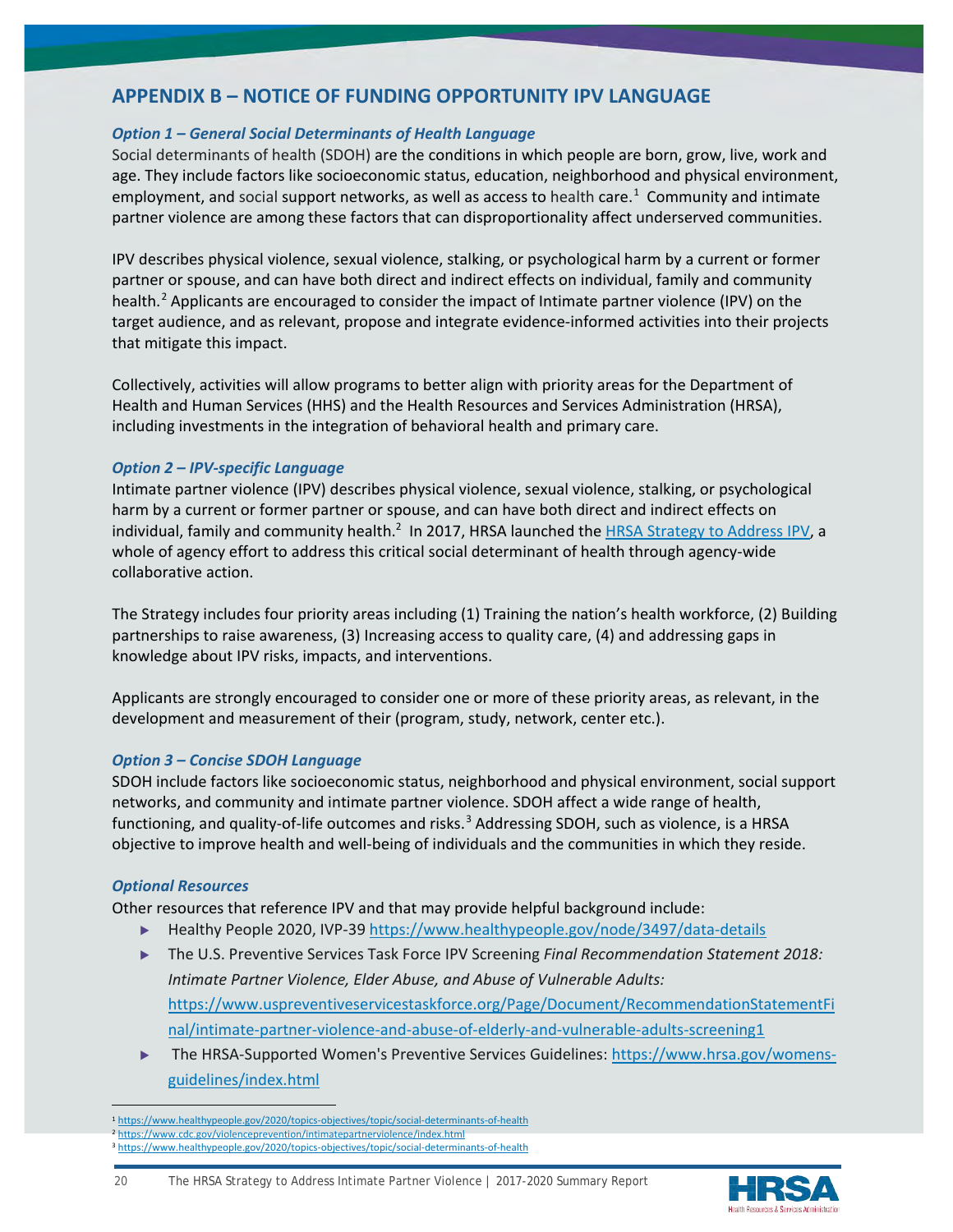# **APPENDIX B – NOTICE OF FUNDING OPPORTUNITY IPV LANGUAGE**

# *Option 1 – General Social Determinants of Health Language*

Social determinants of health (SDOH) are the conditions in which people are born, grow, live, work and age. They include factors like socioeconomic status, education, neighborhood and physical environment, employment, and social support networks, as well as access to health care.<sup>[1](#page-19-0)</sup> Community and intimate partner violence are among these factors that can disproportionality affect underserved communities.

IPV describes physical violence, sexual violence, stalking, or psychological harm by a current or former partner or spouse, and can have both direct and indirect effects on individual, family and community health.<sup>[2](#page-19-1)</sup> Applicants are encouraged to consider the impact of Intimate partner violence (IPV) on the target audience, and as relevant, propose and integrate evidence-informed activities into their projects that mitigate this impact.

Collectively, activities will allow programs to better align with priority areas for the Department of Health and Human Services (HHS) and the Health Resources and Services Administration (HRSA), including investments in the integration of behavioral health and primary care.

#### *Option 2 – IPV-specific Language*

Intimate partner violence (IPV) describes physical violence, sexual violence, stalking, or psychological harm by a current or former partner or spouse, and can have both direct and indirect effects on individual, family and community health.<sup>2</sup> In 2017, HRSA launched the [HRSA Strategy to Address IPV,](https://www.hrsa.gov/sites/default/files/hrsa/HRSA-strategy-intimate-partner-violence.pdf) a whole of agency effort to address this critical social determinant of health through agency-wide collaborative action.

The Strategy includes four priority areas including (1) Training the nation's health workforce, (2) Building partnerships to raise awareness, (3) Increasing access to quality care, (4) and addressing gaps in knowledge about IPV risks, impacts, and interventions.

Applicants are strongly encouraged to consider one or more of these priority areas, as relevant, in the development and measurement of their (program, study, network, center etc.).

# *Option 3 – Concise SDOH Language*

SDOH include factors like socioeconomic status, neighborhood and physical environment, social support networks, and community and intimate partner violence. SDOH affect a wide range of health, functioning, and quality-of-life outcomes and risks.<sup>[3](#page-19-2)</sup> Addressing SDOH, such as violence, is a HRSA objective to improve health and well-being of individuals and the communities in which they reside.

# *Optional Resources*

Other resources that reference IPV and that may provide helpful background include:

- ▶ Healthy People 2020, IVP-39<https://www.healthypeople.gov/node/3497/data-details>
- ▶ The U.S. Preventive Services Task Force IPV Screening *Final Recommendation Statement 2018: Intimate Partner Violence, Elder Abuse, and Abuse of Vulnerable Adults:*  [https://www.uspreventiveservicestaskforce.org/Page/Document/RecommendationStatementFi](https://www.uspreventiveservicestaskforce.org/Page/Document/RecommendationStatementFinal/intimate-partner-violence-and-abuse-of-elderly-and-vulnerable-adults-screening1) [nal/intimate-partner-violence-and-abuse-of-elderly-and-vulnerable-adults-screening1](https://www.uspreventiveservicestaskforce.org/Page/Document/RecommendationStatementFinal/intimate-partner-violence-and-abuse-of-elderly-and-vulnerable-adults-screening1)
- The HRSA-Supported Women's Preventive Services Guidelines: [https://www.hrsa.gov/womens](https://www.hrsa.gov/womens-guidelines/index.html)[guidelines/index.html](https://www.hrsa.gov/womens-guidelines/index.html)



20 The HRSA Strategy to Address Intimate Partner Violence | 2017-2020 Summary Report

<span id="page-19-1"></span><span id="page-19-0"></span><sup>1</sup> <https://www.healthypeople.gov/2020/topics-objectives/topic/social-determinants-of-health>

<sup>2</sup> <https://www.cdc.gov/violenceprevention/intimatepartnerviolence/index.html>

<span id="page-19-2"></span><sup>3</sup> <https://www.healthypeople.gov/2020/topics-objectives/topic/social-determinants-of-health>